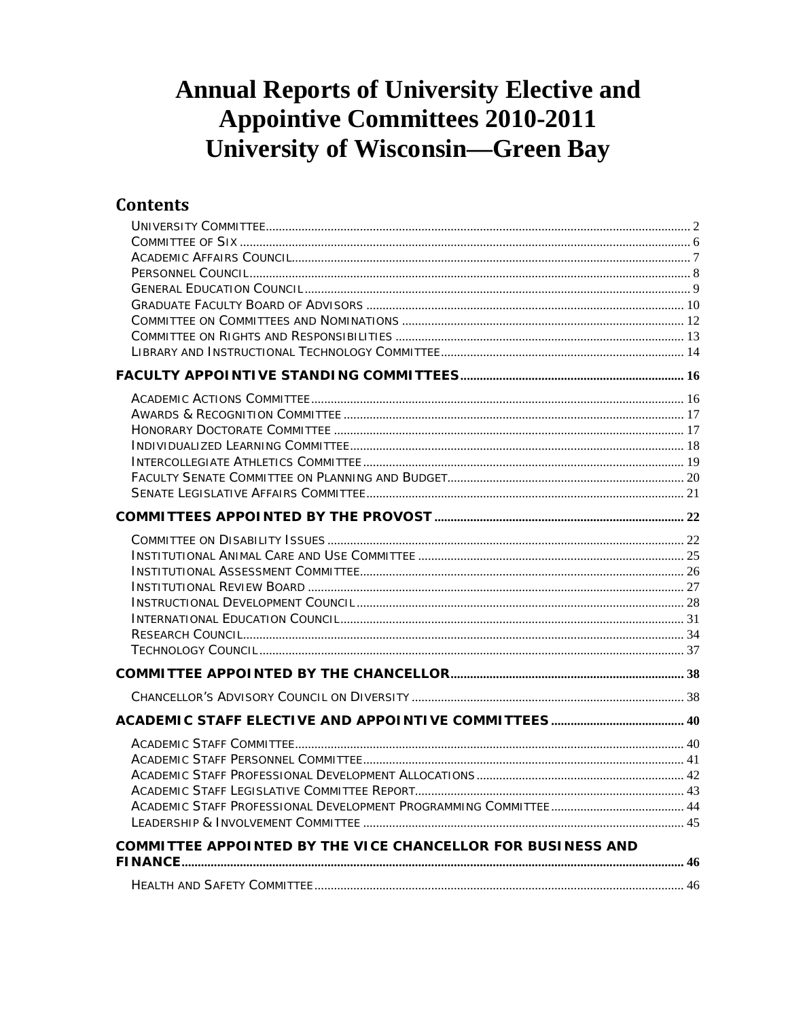# **Annual Reports of University Elective and Appointive Committees 2010-2011 University of Wisconsin-Green Bay**

## **Contents**

| COMMITTEE APPOINTED BY THE VICE CHANCELLOR FOR BUSINESS AND |  |
|-------------------------------------------------------------|--|
|                                                             |  |
|                                                             |  |
|                                                             |  |
|                                                             |  |
|                                                             |  |
|                                                             |  |
|                                                             |  |
|                                                             |  |
|                                                             |  |
|                                                             |  |
|                                                             |  |
|                                                             |  |
|                                                             |  |
|                                                             |  |
|                                                             |  |
|                                                             |  |
|                                                             |  |
|                                                             |  |
|                                                             |  |
|                                                             |  |
|                                                             |  |
|                                                             |  |
|                                                             |  |
|                                                             |  |
|                                                             |  |
|                                                             |  |
|                                                             |  |
|                                                             |  |
|                                                             |  |
|                                                             |  |
|                                                             |  |
|                                                             |  |
|                                                             |  |
|                                                             |  |
|                                                             |  |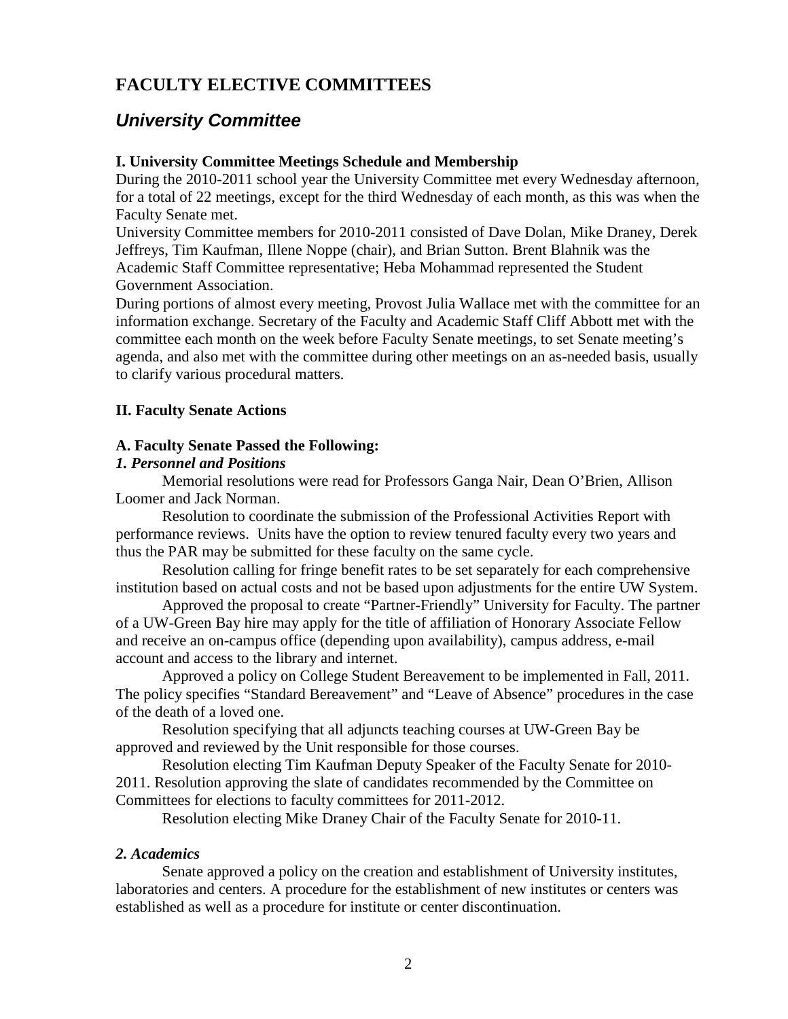## **FACULTY ELECTIVE COMMITTEES**

### <span id="page-1-0"></span>*University Committee*

#### **I. University Committee Meetings Schedule and Membership**

During the 2010-2011 school year the University Committee met every Wednesday afternoon, for a total of 22 meetings, except for the third Wednesday of each month, as this was when the Faculty Senate met.

University Committee members for 2010-2011 consisted of Dave Dolan, Mike Draney, Derek Jeffreys, Tim Kaufman, Illene Noppe (chair), and Brian Sutton. Brent Blahnik was the Academic Staff Committee representative; Heba Mohammad represented the Student Government Association.

During portions of almost every meeting, Provost Julia Wallace met with the committee for an information exchange. Secretary of the Faculty and Academic Staff Cliff Abbott met with the committee each month on the week before Faculty Senate meetings, to set Senate meeting's agenda, and also met with the committee during other meetings on an as-needed basis, usually to clarify various procedural matters.

### **II. Faculty Senate Actions**

#### **A. Faculty Senate Passed the Following:**

#### *1. Personnel and Positions*

Memorial resolutions were read for Professors Ganga Nair, Dean O'Brien, Allison Loomer and Jack Norman.

Resolution to coordinate the submission of the Professional Activities Report with performance reviews. Units have the option to review tenured faculty every two years and thus the PAR may be submitted for these faculty on the same cycle.

Resolution calling for fringe benefit rates to be set separately for each comprehensive institution based on actual costs and not be based upon adjustments for the entire UW System.

Approved the proposal to create "Partner-Friendly" University for Faculty. The partner of a UW-Green Bay hire may apply for the title of affiliation of Honorary Associate Fellow and receive an on-campus office (depending upon availability), campus address, e-mail account and access to the library and internet.

Approved a policy on College Student Bereavement to be implemented in Fall, 2011. The policy specifies "Standard Bereavement" and "Leave of Absence" procedures in the case of the death of a loved one.

Resolution specifying that all adjuncts teaching courses at UW-Green Bay be approved and reviewed by the Unit responsible for those courses.

Resolution electing Tim Kaufman Deputy Speaker of the Faculty Senate for 2010- 2011. Resolution approving the slate of candidates recommended by the Committee on Committees for elections to faculty committees for 2011-2012.

Resolution electing Mike Draney Chair of the Faculty Senate for 2010-11.

#### *2. Academics*

Senate approved a policy on the creation and establishment of University institutes, laboratories and centers. A procedure for the establishment of new institutes or centers was established as well as a procedure for institute or center discontinuation.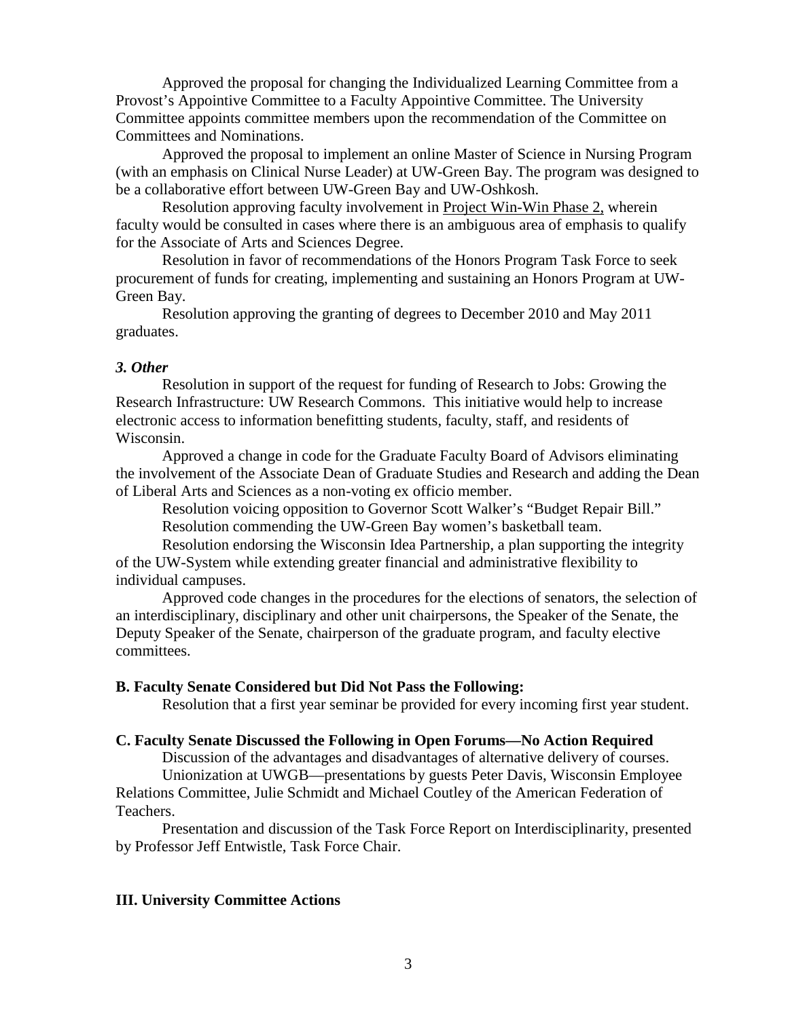Approved the proposal for changing the Individualized Learning Committee from a Provost's Appointive Committee to a Faculty Appointive Committee. The University Committee appoints committee members upon the recommendation of the Committee on Committees and Nominations.

Approved the proposal to implement an online Master of Science in Nursing Program (with an emphasis on Clinical Nurse Leader) at UW-Green Bay. The program was designed to be a collaborative effort between UW-Green Bay and UW-Oshkosh.

Resolution approving faculty involvement in Project Win-Win Phase 2, wherein faculty would be consulted in cases where there is an ambiguous area of emphasis to qualify for the Associate of Arts and Sciences Degree.

Resolution in favor of recommendations of the Honors Program Task Force to seek procurement of funds for creating, implementing and sustaining an Honors Program at UW-Green Bay.

Resolution approving the granting of degrees to December 2010 and May 2011 graduates.

#### *3. Other*

Resolution in support of the request for funding of Research to Jobs: Growing the Research Infrastructure: UW Research Commons. This initiative would help to increase electronic access to information benefitting students, faculty, staff, and residents of Wisconsin.

Approved a change in code for the Graduate Faculty Board of Advisors eliminating the involvement of the Associate Dean of Graduate Studies and Research and adding the Dean of Liberal Arts and Sciences as a non-voting ex officio member.

Resolution voicing opposition to Governor Scott Walker's "Budget Repair Bill." Resolution commending the UW-Green Bay women's basketball team.

Resolution endorsing the Wisconsin Idea Partnership, a plan supporting the integrity of the UW-System while extending greater financial and administrative flexibility to individual campuses.

Approved code changes in the procedures for the elections of senators, the selection of an interdisciplinary, disciplinary and other unit chairpersons, the Speaker of the Senate, the Deputy Speaker of the Senate, chairperson of the graduate program, and faculty elective committees.

#### **B. Faculty Senate Considered but Did Not Pass the Following:**

Resolution that a first year seminar be provided for every incoming first year student.

#### **C. Faculty Senate Discussed the Following in Open Forums—No Action Required**

Discussion of the advantages and disadvantages of alternative delivery of courses.

Unionization at UWGB—presentations by guests Peter Davis, Wisconsin Employee Relations Committee, Julie Schmidt and Michael Coutley of the American Federation of Teachers.

Presentation and discussion of the Task Force Report on Interdisciplinarity, presented by Professor Jeff Entwistle, Task Force Chair.

#### **III. University Committee Actions**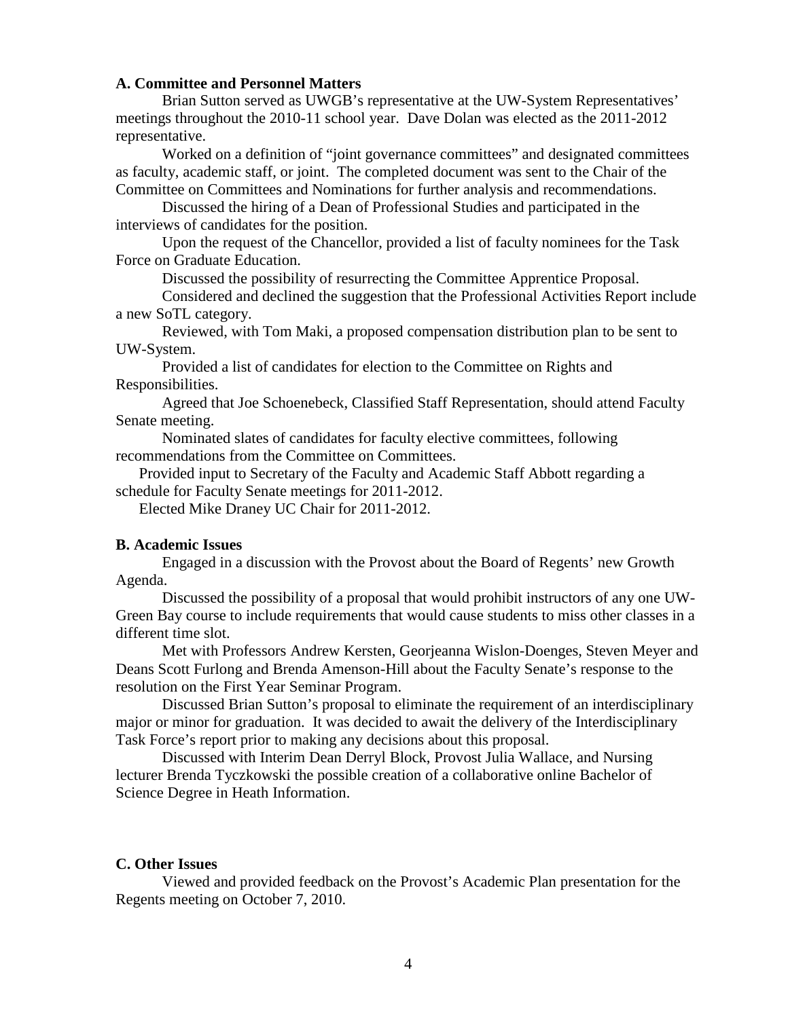#### **A. Committee and Personnel Matters**

Brian Sutton served as UWGB's representative at the UW-System Representatives' meetings throughout the 2010-11 school year. Dave Dolan was elected as the 2011-2012 representative.

Worked on a definition of "joint governance committees" and designated committees as faculty, academic staff, or joint. The completed document was sent to the Chair of the Committee on Committees and Nominations for further analysis and recommendations.

Discussed the hiring of a Dean of Professional Studies and participated in the interviews of candidates for the position.

Upon the request of the Chancellor, provided a list of faculty nominees for the Task Force on Graduate Education.

Discussed the possibility of resurrecting the Committee Apprentice Proposal.

Considered and declined the suggestion that the Professional Activities Report include a new SoTL category.

Reviewed, with Tom Maki, a proposed compensation distribution plan to be sent to UW-System.

Provided a list of candidates for election to the Committee on Rights and Responsibilities.

Agreed that Joe Schoenebeck, Classified Staff Representation, should attend Faculty Senate meeting.

Nominated slates of candidates for faculty elective committees, following recommendations from the Committee on Committees.

Provided input to Secretary of the Faculty and Academic Staff Abbott regarding a schedule for Faculty Senate meetings for 2011-2012.

Elected Mike Draney UC Chair for 2011-2012.

#### **B. Academic Issues**

Engaged in a discussion with the Provost about the Board of Regents' new Growth Agenda.

Discussed the possibility of a proposal that would prohibit instructors of any one UW-Green Bay course to include requirements that would cause students to miss other classes in a different time slot.

Met with Professors Andrew Kersten, Georjeanna Wislon-Doenges, Steven Meyer and Deans Scott Furlong and Brenda Amenson-Hill about the Faculty Senate's response to the resolution on the First Year Seminar Program.

Discussed Brian Sutton's proposal to eliminate the requirement of an interdisciplinary major or minor for graduation. It was decided to await the delivery of the Interdisciplinary Task Force's report prior to making any decisions about this proposal.

Discussed with Interim Dean Derryl Block, Provost Julia Wallace, and Nursing lecturer Brenda Tyczkowski the possible creation of a collaborative online Bachelor of Science Degree in Heath Information.

#### **C. Other Issues**

Viewed and provided feedback on the Provost's Academic Plan presentation for the Regents meeting on October 7, 2010.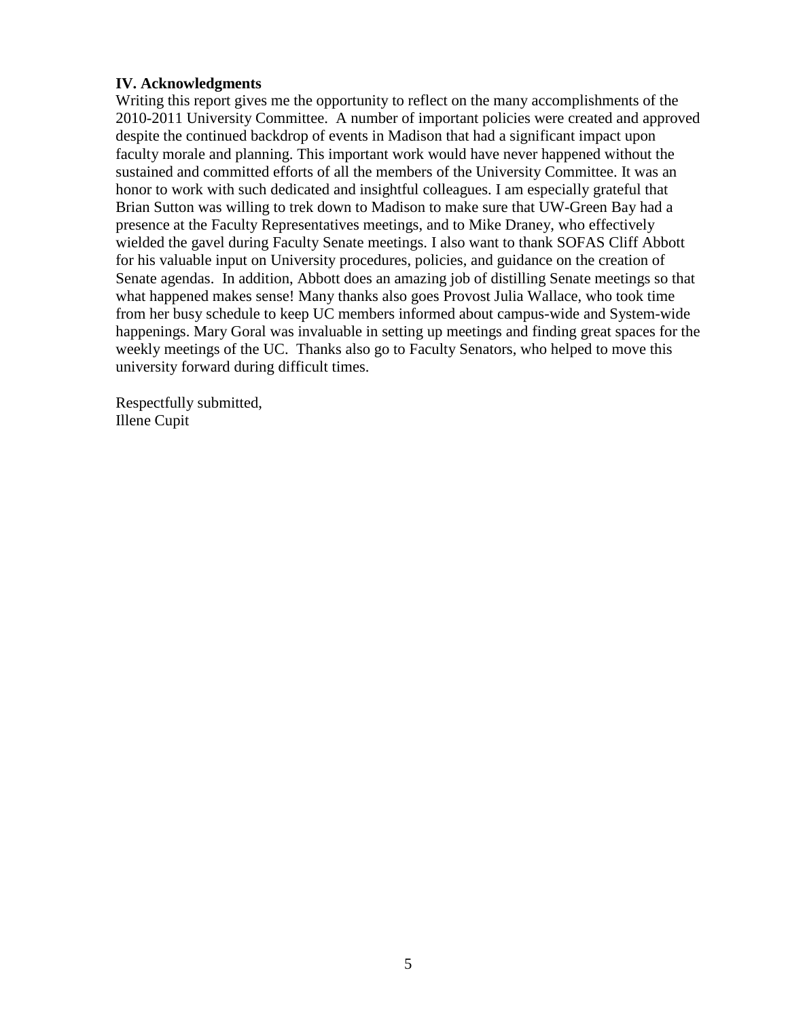### **IV. Acknowledgments**

Writing this report gives me the opportunity to reflect on the many accomplishments of the 2010-2011 University Committee. A number of important policies were created and approved despite the continued backdrop of events in Madison that had a significant impact upon faculty morale and planning. This important work would have never happened without the sustained and committed efforts of all the members of the University Committee. It was an honor to work with such dedicated and insightful colleagues. I am especially grateful that Brian Sutton was willing to trek down to Madison to make sure that UW-Green Bay had a presence at the Faculty Representatives meetings, and to Mike Draney, who effectively wielded the gavel during Faculty Senate meetings. I also want to thank SOFAS Cliff Abbott for his valuable input on University procedures, policies, and guidance on the creation of Senate agendas. In addition, Abbott does an amazing job of distilling Senate meetings so that what happened makes sense! Many thanks also goes Provost Julia Wallace, who took time from her busy schedule to keep UC members informed about campus-wide and System-wide happenings. Mary Goral was invaluable in setting up meetings and finding great spaces for the weekly meetings of the UC. Thanks also go to Faculty Senators, who helped to move this university forward during difficult times.

Respectfully submitted, Illene Cupit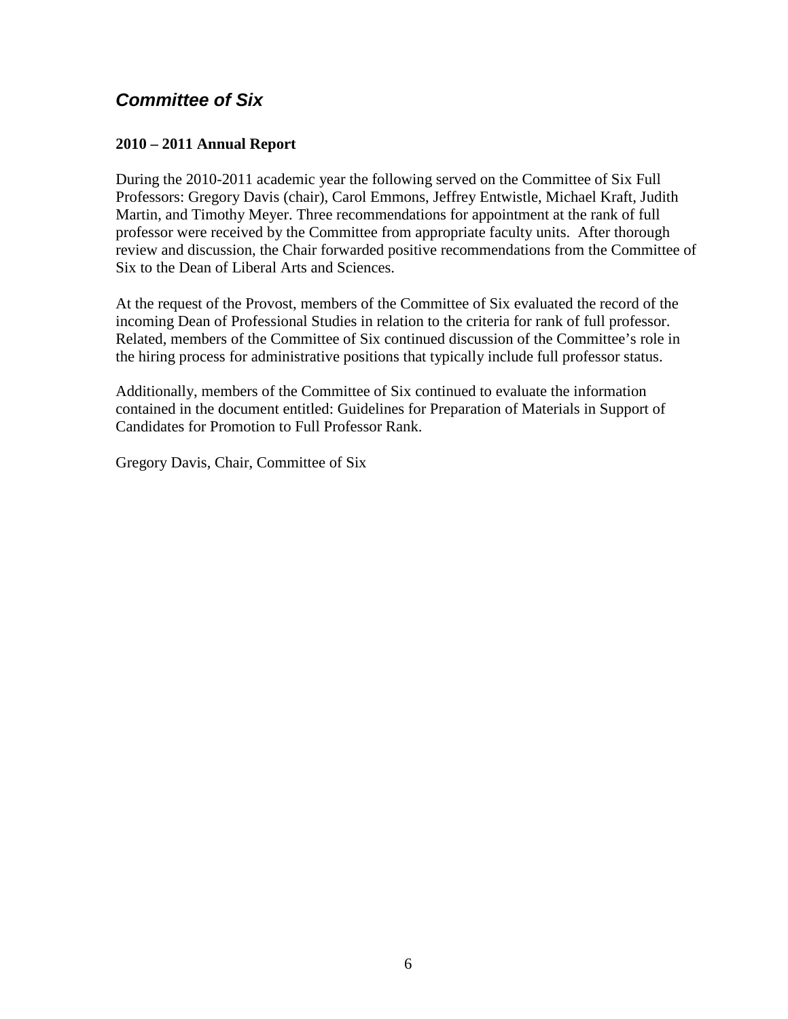## <span id="page-5-0"></span>*Committee of Six*

### **2010 – 2011 Annual Report**

During the 2010-2011 academic year the following served on the Committee of Six Full Professors: Gregory Davis (chair), Carol Emmons, Jeffrey Entwistle, Michael Kraft, Judith Martin, and Timothy Meyer. Three recommendations for appointment at the rank of full professor were received by the Committee from appropriate faculty units. After thorough review and discussion, the Chair forwarded positive recommendations from the Committee of Six to the Dean of Liberal Arts and Sciences.

At the request of the Provost, members of the Committee of Six evaluated the record of the incoming Dean of Professional Studies in relation to the criteria for rank of full professor. Related, members of the Committee of Six continued discussion of the Committee's role in the hiring process for administrative positions that typically include full professor status.

Additionally, members of the Committee of Six continued to evaluate the information contained in the document entitled: Guidelines for Preparation of Materials in Support of Candidates for Promotion to Full Professor Rank.

Gregory Davis, Chair, Committee of Six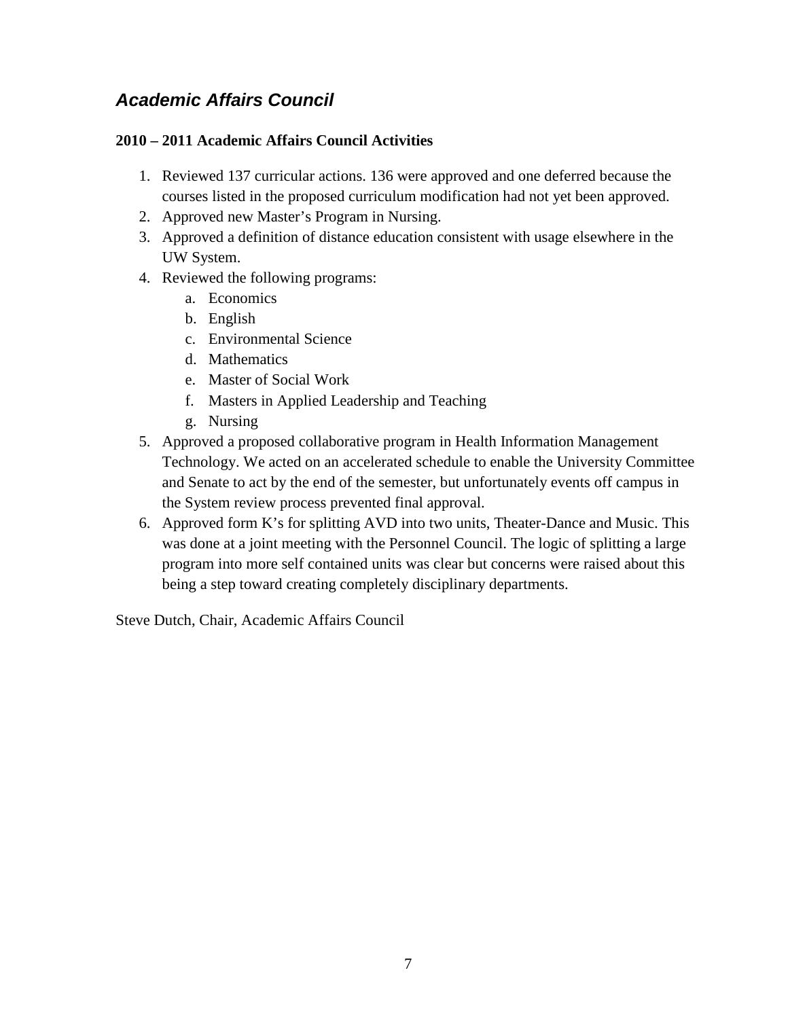## <span id="page-6-0"></span>*Academic Affairs Council*

### **2010 – 2011 Academic Affairs Council Activities**

- 1. Reviewed 137 curricular actions. 136 were approved and one deferred because the courses listed in the proposed curriculum modification had not yet been approved.
- 2. Approved new Master's Program in Nursing.
- 3. Approved a definition of distance education consistent with usage elsewhere in the UW System.
- 4. Reviewed the following programs:
	- a. Economics
	- b. English
	- c. Environmental Science
	- d. Mathematics
	- e. Master of Social Work
	- f. Masters in Applied Leadership and Teaching
	- g. Nursing
- 5. Approved a proposed collaborative program in Health Information Management Technology. We acted on an accelerated schedule to enable the University Committee and Senate to act by the end of the semester, but unfortunately events off campus in the System review process prevented final approval.
- 6. Approved form K's for splitting AVD into two units, Theater-Dance and Music. This was done at a joint meeting with the Personnel Council. The logic of splitting a large program into more self contained units was clear but concerns were raised about this being a step toward creating completely disciplinary departments.

Steve Dutch, Chair, Academic Affairs Council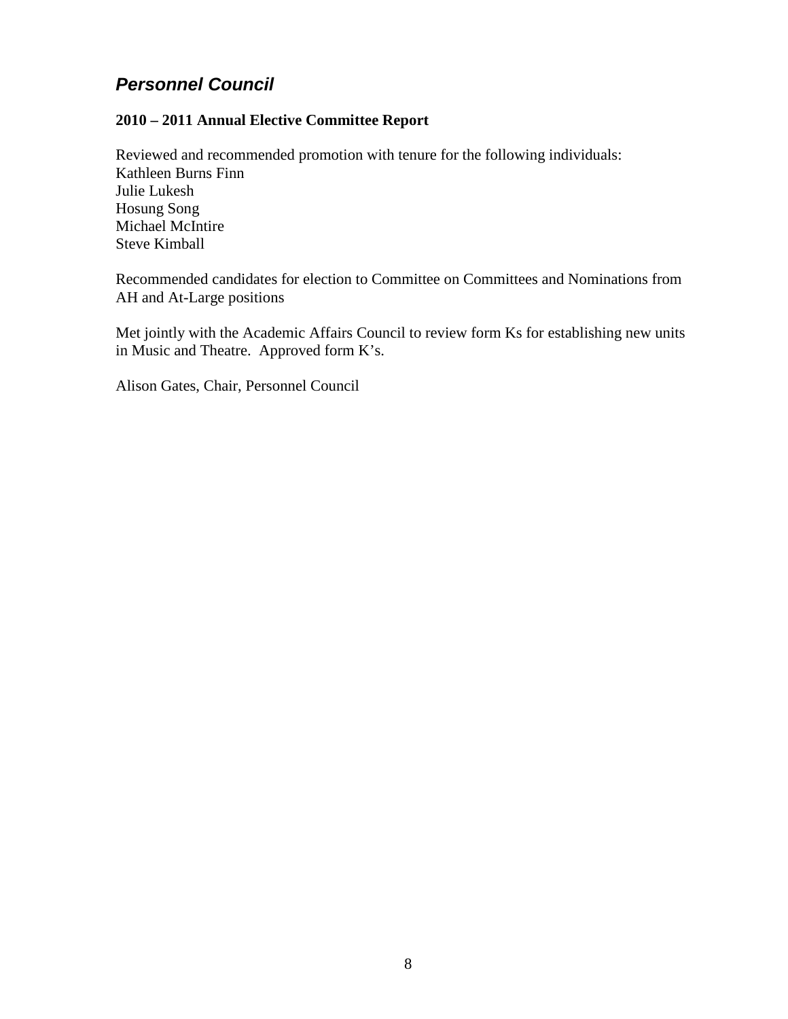## <span id="page-7-0"></span>*Personnel Council*

### **2010 – 2011 Annual Elective Committee Report**

Reviewed and recommended promotion with tenure for the following individuals: Kathleen Burns Finn Julie Lukesh Hosung Song Michael McIntire Steve Kimball

Recommended candidates for election to Committee on Committees and Nominations from AH and At-Large positions

Met jointly with the Academic Affairs Council to review form Ks for establishing new units in Music and Theatre. Approved form K's.

Alison Gates, Chair, Personnel Council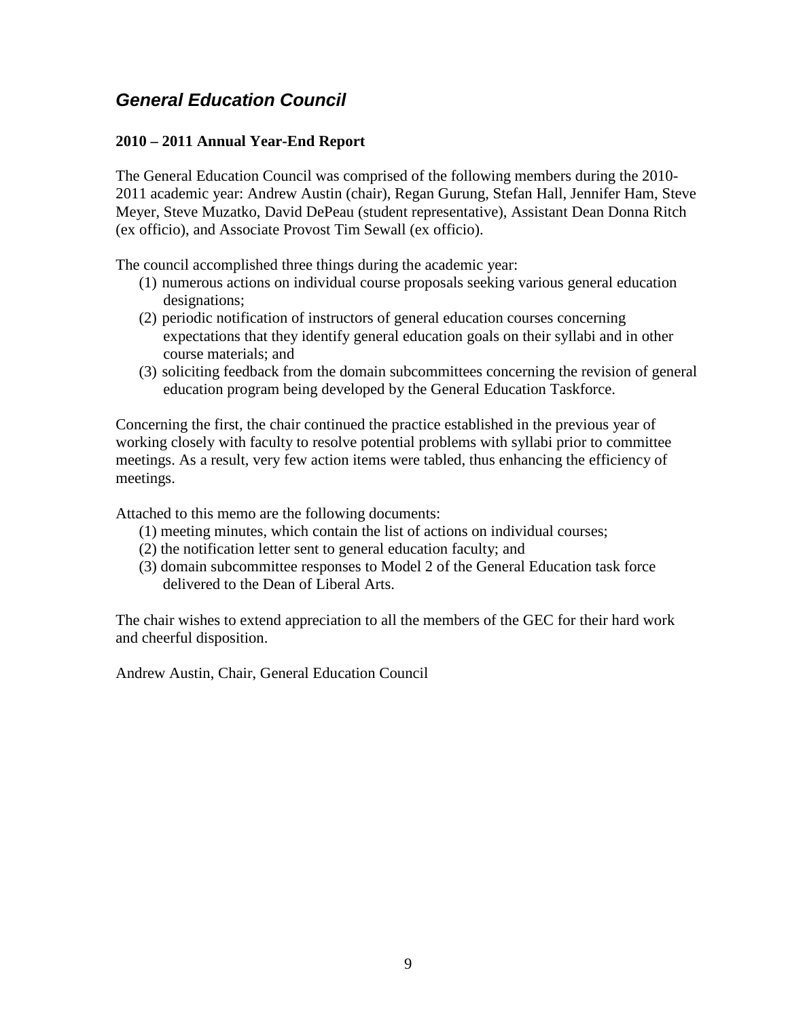## <span id="page-8-0"></span>*General Education Council*

### **2010 – 2011 Annual Year-End Report**

The General Education Council was comprised of the following members during the 2010- 2011 academic year: Andrew Austin (chair), Regan Gurung, Stefan Hall, Jennifer Ham, Steve Meyer, Steve Muzatko, David DePeau (student representative), Assistant Dean Donna Ritch (ex officio), and Associate Provost Tim Sewall (ex officio).

The council accomplished three things during the academic year:

- (1) numerous actions on individual course proposals seeking various general education designations;
- (2) periodic notification of instructors of general education courses concerning expectations that they identify general education goals on their syllabi and in other course materials; and
- (3) soliciting feedback from the domain subcommittees concerning the revision of general education program being developed by the General Education Taskforce.

Concerning the first, the chair continued the practice established in the previous year of working closely with faculty to resolve potential problems with syllabi prior to committee meetings. As a result, very few action items were tabled, thus enhancing the efficiency of meetings.

Attached to this memo are the following documents:

- (1) meeting minutes, which contain the list of actions on individual courses;
- (2) the notification letter sent to general education faculty; and
- (3) domain subcommittee responses to Model 2 of the General Education task force delivered to the Dean of Liberal Arts.

The chair wishes to extend appreciation to all the members of the GEC for their hard work and cheerful disposition.

Andrew Austin, Chair, General Education Council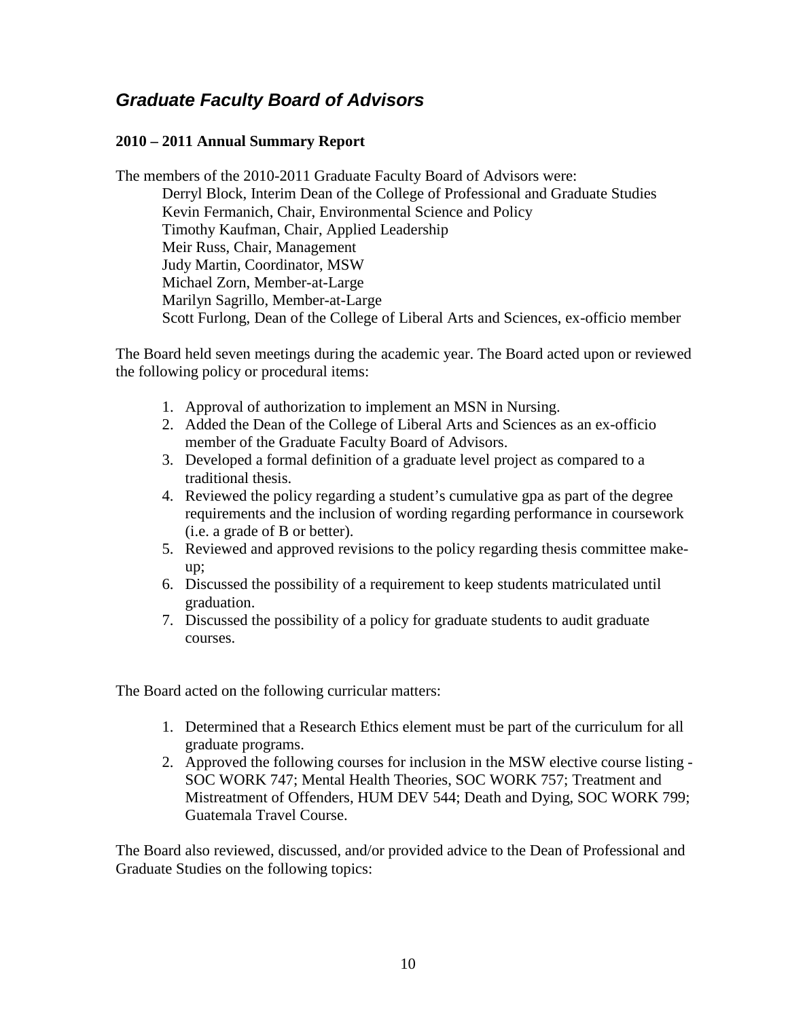## <span id="page-9-0"></span>*Graduate Faculty Board of Advisors*

### **2010 – 2011 Annual Summary Report**

The members of the 2010-2011 Graduate Faculty Board of Advisors were: Derryl Block, Interim Dean of the College of Professional and Graduate Studies Kevin Fermanich, Chair, Environmental Science and Policy Timothy Kaufman, Chair, Applied Leadership Meir Russ, Chair, Management Judy Martin, Coordinator, MSW Michael Zorn, Member-at-Large Marilyn Sagrillo, Member-at-Large Scott Furlong, Dean of the College of Liberal Arts and Sciences, ex-officio member

The Board held seven meetings during the academic year. The Board acted upon or reviewed the following policy or procedural items:

- 1. Approval of authorization to implement an MSN in Nursing.
- 2. Added the Dean of the College of Liberal Arts and Sciences as an ex-officio member of the Graduate Faculty Board of Advisors.
- 3. Developed a formal definition of a graduate level project as compared to a traditional thesis.
- 4. Reviewed the policy regarding a student's cumulative gpa as part of the degree requirements and the inclusion of wording regarding performance in coursework (i.e. a grade of B or better).
- 5. Reviewed and approved revisions to the policy regarding thesis committee makeup;
- 6. Discussed the possibility of a requirement to keep students matriculated until graduation.
- 7. Discussed the possibility of a policy for graduate students to audit graduate courses.

The Board acted on the following curricular matters:

- 1. Determined that a Research Ethics element must be part of the curriculum for all graduate programs.
- 2. Approved the following courses for inclusion in the MSW elective course listing SOC WORK 747; Mental Health Theories, SOC WORK 757; Treatment and Mistreatment of Offenders, HUM DEV 544; Death and Dying, SOC WORK 799; Guatemala Travel Course.

The Board also reviewed, discussed, and/or provided advice to the Dean of Professional and Graduate Studies on the following topics: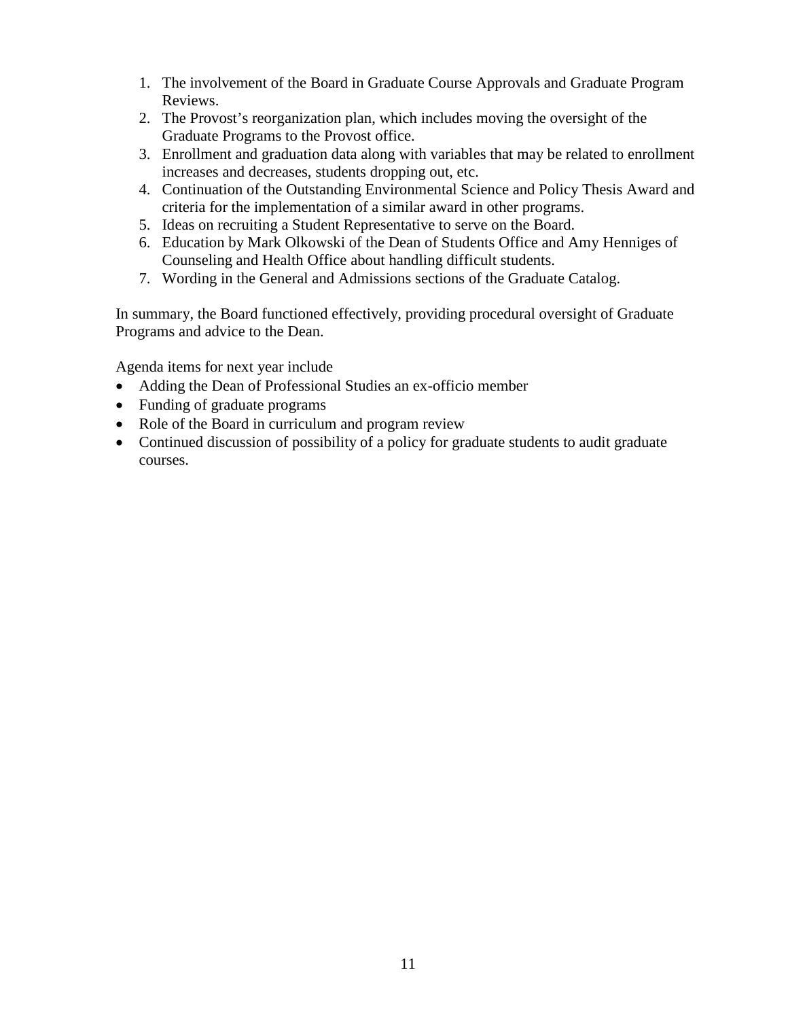- 1. The involvement of the Board in Graduate Course Approvals and Graduate Program Reviews.
- 2. The Provost's reorganization plan, which includes moving the oversight of the Graduate Programs to the Provost office.
- 3. Enrollment and graduation data along with variables that may be related to enrollment increases and decreases, students dropping out, etc.
- 4. Continuation of the Outstanding Environmental Science and Policy Thesis Award and criteria for the implementation of a similar award in other programs.
- 5. Ideas on recruiting a Student Representative to serve on the Board.
- 6. Education by Mark Olkowski of the Dean of Students Office and Amy Henniges of Counseling and Health Office about handling difficult students.
- 7. Wording in the General and Admissions sections of the Graduate Catalog.

In summary, the Board functioned effectively, providing procedural oversight of Graduate Programs and advice to the Dean.

Agenda items for next year include

- Adding the Dean of Professional Studies an ex-officio member
- Funding of graduate programs
- Role of the Board in curriculum and program review
- Continued discussion of possibility of a policy for graduate students to audit graduate courses.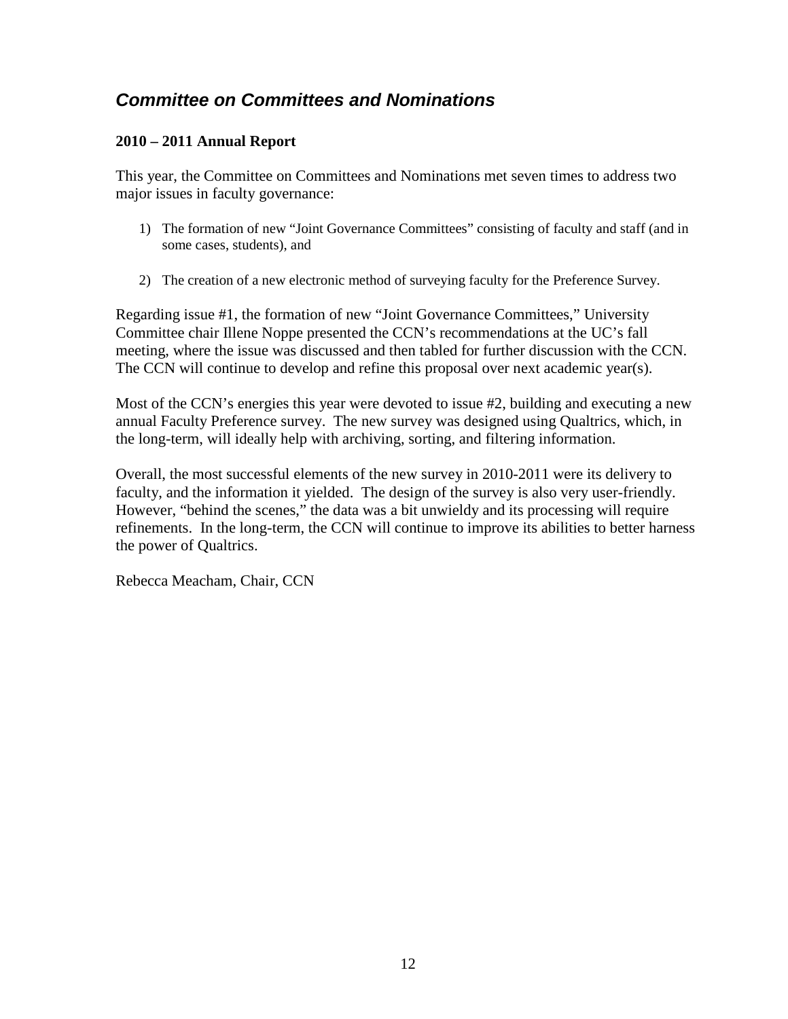## <span id="page-11-0"></span>*Committee on Committees and Nominations*

### **2010 – 2011 Annual Report**

This year, the Committee on Committees and Nominations met seven times to address two major issues in faculty governance:

- 1) The formation of new "Joint Governance Committees" consisting of faculty and staff (and in some cases, students), and
- 2) The creation of a new electronic method of surveying faculty for the Preference Survey.

Regarding issue #1, the formation of new "Joint Governance Committees," University Committee chair Illene Noppe presented the CCN's recommendations at the UC's fall meeting, where the issue was discussed and then tabled for further discussion with the CCN. The CCN will continue to develop and refine this proposal over next academic year(s).

Most of the CCN's energies this year were devoted to issue #2, building and executing a new annual Faculty Preference survey. The new survey was designed using Qualtrics, which, in the long-term, will ideally help with archiving, sorting, and filtering information.

Overall, the most successful elements of the new survey in 2010-2011 were its delivery to faculty, and the information it yielded. The design of the survey is also very user-friendly. However, "behind the scenes," the data was a bit unwieldy and its processing will require refinements. In the long-term, the CCN will continue to improve its abilities to better harness the power of Qualtrics.

Rebecca Meacham, Chair, CCN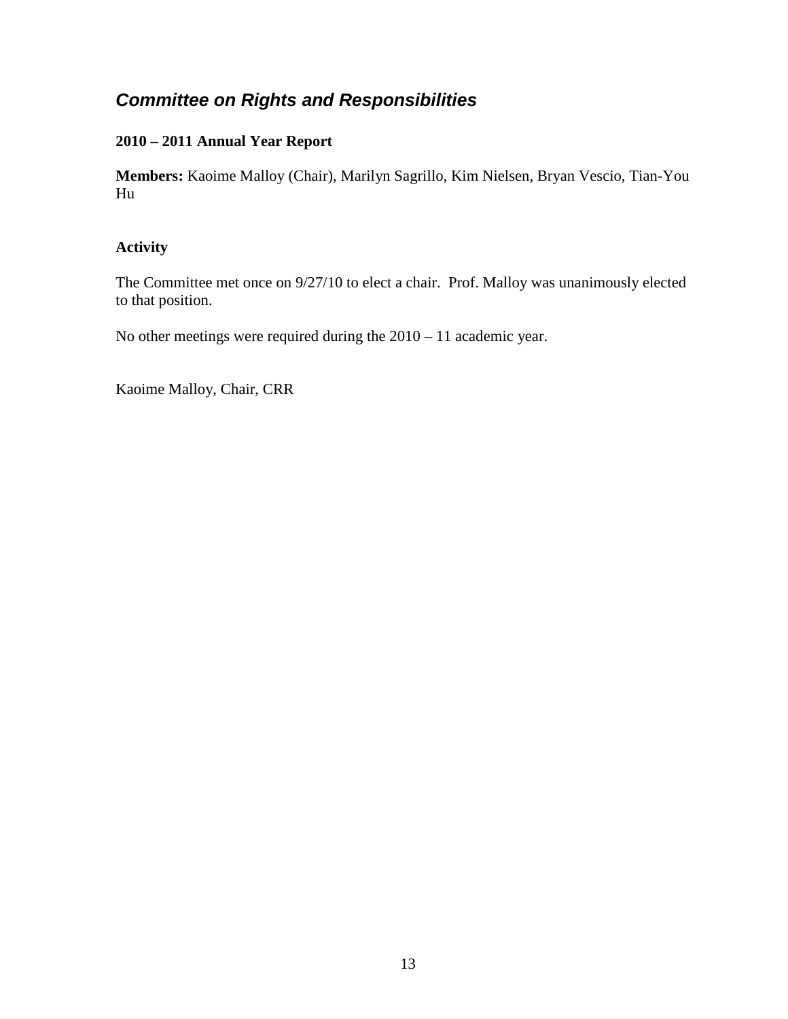## <span id="page-12-0"></span>*Committee on Rights and Responsibilities*

### **2010 – 2011 Annual Year Report**

**Members:** Kaoime Malloy (Chair), Marilyn Sagrillo, Kim Nielsen, Bryan Vescio, Tian-You Hu

### **Activity**

The Committee met once on 9/27/10 to elect a chair. Prof. Malloy was unanimously elected to that position.

No other meetings were required during the 2010 – 11 academic year.

Kaoime Malloy, Chair, CRR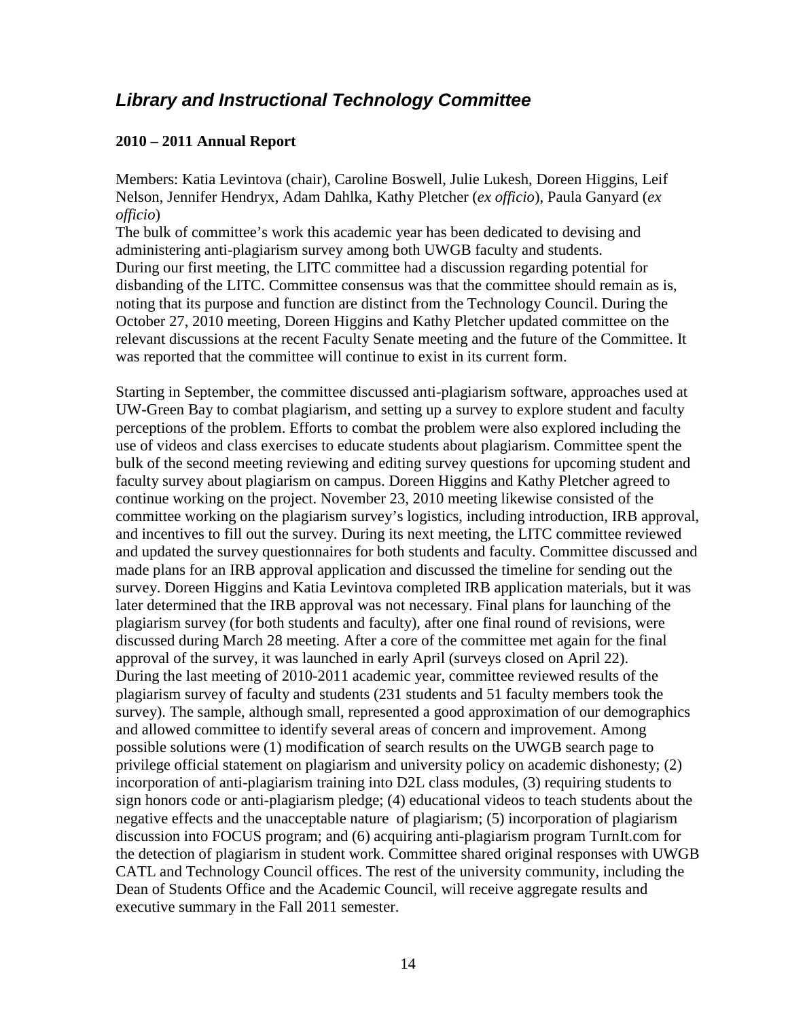### <span id="page-13-0"></span>*Library and Instructional Technology Committee*

#### **2010 – 2011 Annual Report**

Members: Katia Levintova (chair), Caroline Boswell, Julie Lukesh, Doreen Higgins, Leif Nelson, Jennifer Hendryx, Adam Dahlka, Kathy Pletcher (*ex officio*), Paula Ganyard (*ex officio*)

The bulk of committee's work this academic year has been dedicated to devising and administering anti-plagiarism survey among both UWGB faculty and students. During our first meeting, the LITC committee had a discussion regarding potential for disbanding of the LITC. Committee consensus was that the committee should remain as is, noting that its purpose and function are distinct from the Technology Council. During the October 27, 2010 meeting, Doreen Higgins and Kathy Pletcher updated committee on the relevant discussions at the recent Faculty Senate meeting and the future of the Committee. It was reported that the committee will continue to exist in its current form.

Starting in September, the committee discussed anti-plagiarism software, approaches used at UW-Green Bay to combat plagiarism, and setting up a survey to explore student and faculty perceptions of the problem. Efforts to combat the problem were also explored including the use of videos and class exercises to educate students about plagiarism. Committee spent the bulk of the second meeting reviewing and editing survey questions for upcoming student and faculty survey about plagiarism on campus. Doreen Higgins and Kathy Pletcher agreed to continue working on the project. November 23, 2010 meeting likewise consisted of the committee working on the plagiarism survey's logistics, including introduction, IRB approval, and incentives to fill out the survey. During its next meeting, the LITC committee reviewed and updated the survey questionnaires for both students and faculty. Committee discussed and made plans for an IRB approval application and discussed the timeline for sending out the survey. Doreen Higgins and Katia Levintova completed IRB application materials, but it was later determined that the IRB approval was not necessary. Final plans for launching of the plagiarism survey (for both students and faculty), after one final round of revisions, were discussed during March 28 meeting. After a core of the committee met again for the final approval of the survey, it was launched in early April (surveys closed on April 22). During the last meeting of 2010-2011 academic year, committee reviewed results of the plagiarism survey of faculty and students (231 students and 51 faculty members took the survey). The sample, although small, represented a good approximation of our demographics and allowed committee to identify several areas of concern and improvement. Among possible solutions were (1) modification of search results on the UWGB search page to privilege official statement on plagiarism and university policy on academic dishonesty; (2) incorporation of anti-plagiarism training into D2L class modules, (3) requiring students to sign honors code or anti-plagiarism pledge; (4) educational videos to teach students about the negative effects and the unacceptable nature of plagiarism; (5) incorporation of plagiarism discussion into FOCUS program; and (6) acquiring anti-plagiarism program TurnIt.com for the detection of plagiarism in student work. Committee shared original responses with UWGB CATL and Technology Council offices. The rest of the university community, including the Dean of Students Office and the Academic Council, will receive aggregate results and executive summary in the Fall 2011 semester.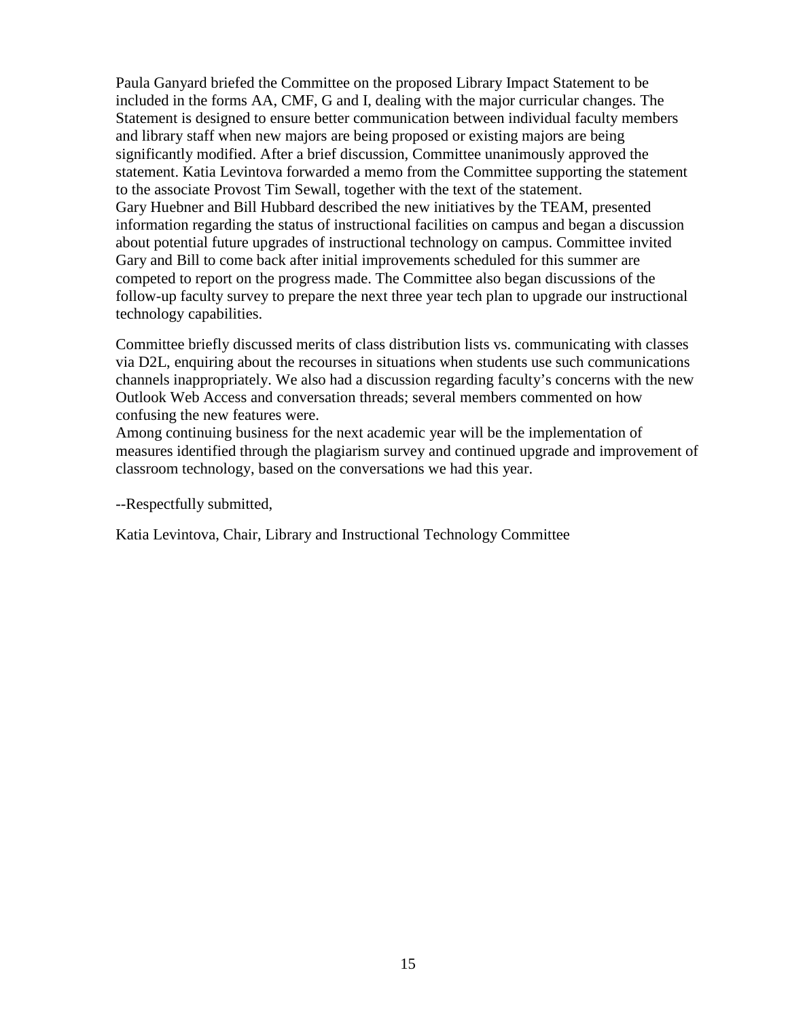Paula Ganyard briefed the Committee on the proposed Library Impact Statement to be included in the forms AA, CMF, G and I, dealing with the major curricular changes. The Statement is designed to ensure better communication between individual faculty members and library staff when new majors are being proposed or existing majors are being significantly modified. After a brief discussion, Committee unanimously approved the statement. Katia Levintova forwarded a memo from the Committee supporting the statement to the associate Provost Tim Sewall, together with the text of the statement. Gary Huebner and Bill Hubbard described the new initiatives by the TEAM, presented information regarding the status of instructional facilities on campus and began a discussion about potential future upgrades of instructional technology on campus. Committee invited Gary and Bill to come back after initial improvements scheduled for this summer are competed to report on the progress made. The Committee also began discussions of the follow-up faculty survey to prepare the next three year tech plan to upgrade our instructional technology capabilities.

Committee briefly discussed merits of class distribution lists vs. communicating with classes via D2L, enquiring about the recourses in situations when students use such communications channels inappropriately. We also had a discussion regarding faculty's concerns with the new Outlook Web Access and conversation threads; several members commented on how confusing the new features were.

Among continuing business for the next academic year will be the implementation of measures identified through the plagiarism survey and continued upgrade and improvement of classroom technology, based on the conversations we had this year.

--Respectfully submitted,

Katia Levintova, Chair, Library and Instructional Technology Committee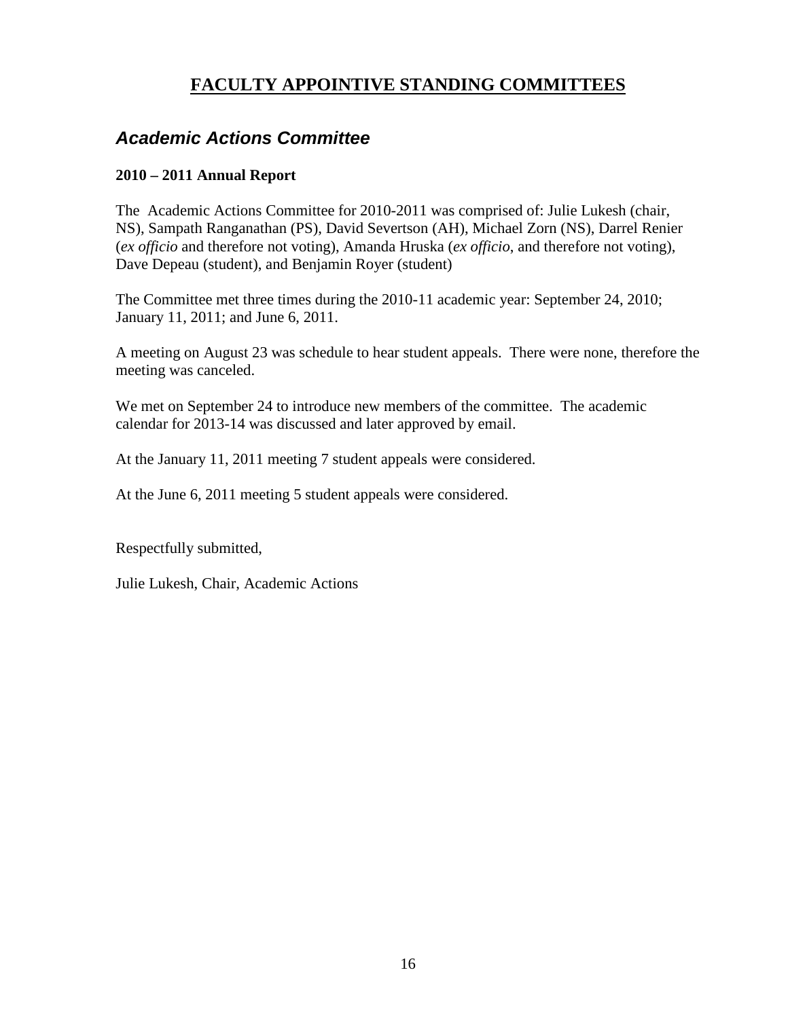## **FACULTY APPOINTIVE STANDING COMMITTEES**

## <span id="page-15-1"></span><span id="page-15-0"></span>*Academic Actions Committee*

### **2010 – 2011 Annual Report**

The Academic Actions Committee for 2010-2011 was comprised of: Julie Lukesh (chair, NS), Sampath Ranganathan (PS), David Severtson (AH), Michael Zorn (NS), Darrel Renier (*ex officio* and therefore not voting), Amanda Hruska (*ex officio*, and therefore not voting), Dave Depeau (student), and Benjamin Royer (student)

The Committee met three times during the 2010-11 academic year: September 24, 2010; January 11, 2011; and June 6, 2011.

A meeting on August 23 was schedule to hear student appeals. There were none, therefore the meeting was canceled.

We met on September 24 to introduce new members of the committee. The academic calendar for 2013-14 was discussed and later approved by email.

At the January 11, 2011 meeting 7 student appeals were considered.

At the June 6, 2011 meeting 5 student appeals were considered.

Respectfully submitted,

Julie Lukesh, Chair, Academic Actions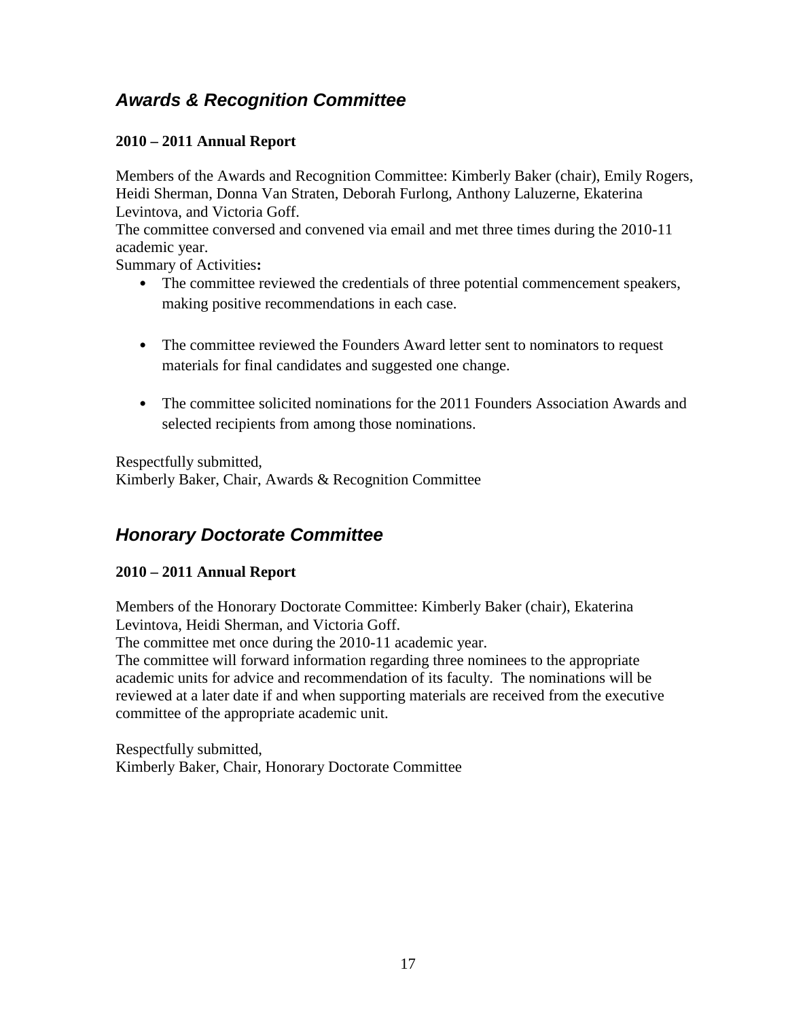## <span id="page-16-0"></span>*Awards & Recognition Committee*

### **2010 – 2011 Annual Report**

Members of the Awards and Recognition Committee: Kimberly Baker (chair), Emily Rogers, Heidi Sherman, Donna Van Straten, Deborah Furlong, Anthony Laluzerne, Ekaterina Levintova, and Victoria Goff.

The committee conversed and convened via email and met three times during the 2010-11 academic year.

Summary of Activities**:**

- The committee reviewed the credentials of three potential commencement speakers, making positive recommendations in each case.
- The committee reviewed the Founders Award letter sent to nominators to request materials for final candidates and suggested one change.
- The committee solicited nominations for the 2011 Founders Association Awards and selected recipients from among those nominations.

Respectfully submitted, Kimberly Baker, Chair, Awards & Recognition Committee

## <span id="page-16-1"></span>*Honorary Doctorate Committee*

### **2010 – 2011 Annual Report**

Members of the Honorary Doctorate Committee: Kimberly Baker (chair), Ekaterina Levintova, Heidi Sherman, and Victoria Goff.

The committee met once during the 2010-11 academic year.

The committee will forward information regarding three nominees to the appropriate academic units for advice and recommendation of its faculty. The nominations will be reviewed at a later date if and when supporting materials are received from the executive committee of the appropriate academic unit.

Respectfully submitted, Kimberly Baker, Chair, Honorary Doctorate Committee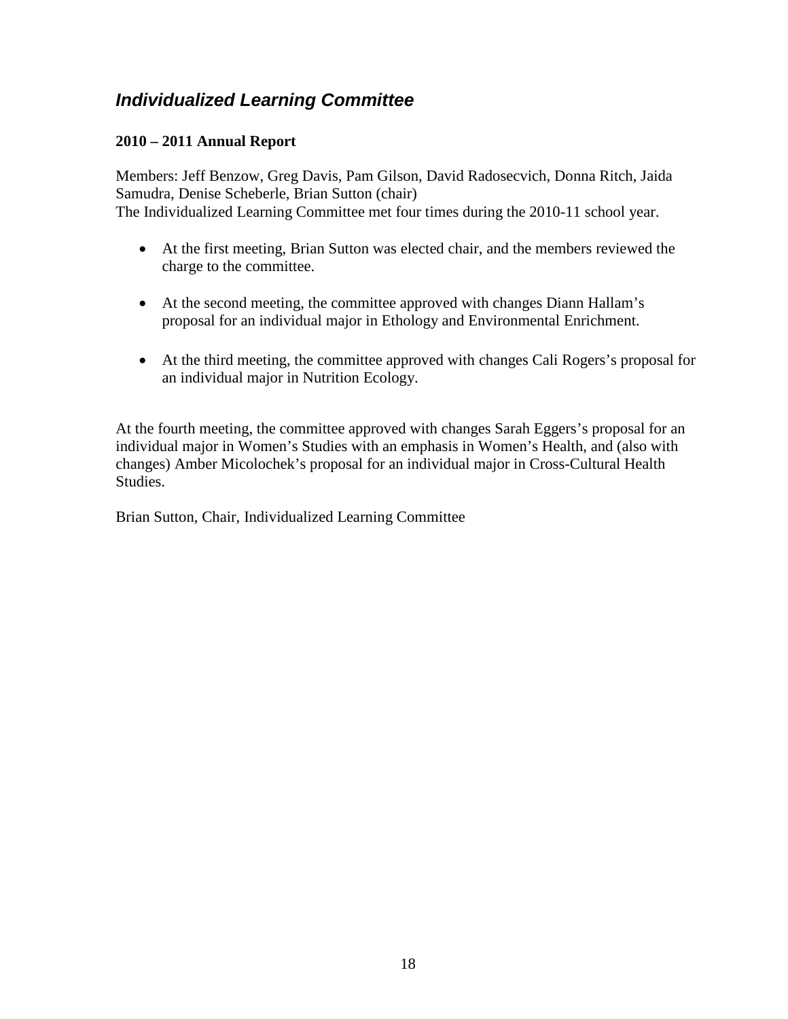## <span id="page-17-0"></span>*Individualized Learning Committee*

### **2010 – 2011 Annual Report**

Members: Jeff Benzow, Greg Davis, Pam Gilson, David Radosecvich, Donna Ritch, Jaida Samudra, Denise Scheberle, Brian Sutton (chair) The Individualized Learning Committee met four times during the 2010-11 school year.

- At the first meeting, Brian Sutton was elected chair, and the members reviewed the charge to the committee.
- At the second meeting, the committee approved with changes Diann Hallam's proposal for an individual major in Ethology and Environmental Enrichment.
- At the third meeting, the committee approved with changes Cali Rogers's proposal for an individual major in Nutrition Ecology.

At the fourth meeting, the committee approved with changes Sarah Eggers's proposal for an individual major in Women's Studies with an emphasis in Women's Health, and (also with changes) Amber Micolochek's proposal for an individual major in Cross-Cultural Health Studies.

Brian Sutton, Chair, Individualized Learning Committee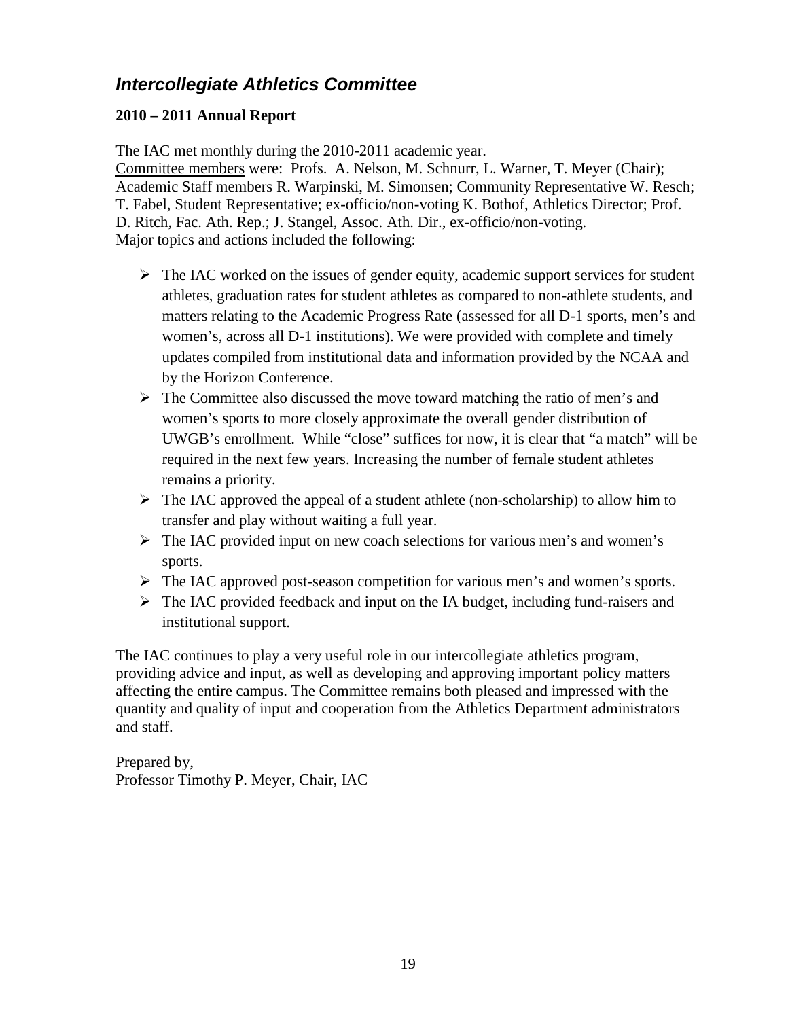## <span id="page-18-0"></span>*Intercollegiate Athletics Committee*

### **2010 – 2011 Annual Report**

The IAC met monthly during the 2010-2011 academic year.

Committee members were: Profs. A. Nelson, M. Schnurr, L. Warner, T. Meyer (Chair); Academic Staff members R. Warpinski, M. Simonsen; Community Representative W. Resch; T. Fabel, Student Representative; ex-officio/non-voting K. Bothof, Athletics Director; Prof. D. Ritch, Fac. Ath. Rep.; J. Stangel, Assoc. Ath. Dir., ex-officio/non-voting. Major topics and actions included the following:

- $\triangleright$  The IAC worked on the issues of gender equity, academic support services for student athletes, graduation rates for student athletes as compared to non-athlete students, and matters relating to the Academic Progress Rate (assessed for all D-1 sports, men's and women's, across all D-1 institutions). We were provided with complete and timely updates compiled from institutional data and information provided by the NCAA and by the Horizon Conference.
- $\triangleright$  The Committee also discussed the move toward matching the ratio of men's and women's sports to more closely approximate the overall gender distribution of UWGB's enrollment. While "close" suffices for now, it is clear that "a match" will be required in the next few years. Increasing the number of female student athletes remains a priority.
- $\triangleright$  The IAC approved the appeal of a student athlete (non-scholarship) to allow him to transfer and play without waiting a full year.
- $\triangleright$  The IAC provided input on new coach selections for various men's and women's sports.
- $\triangleright$  The IAC approved post-season competition for various men's and women's sports.
- $\triangleright$  The IAC provided feedback and input on the IA budget, including fund-raisers and institutional support.

The IAC continues to play a very useful role in our intercollegiate athletics program, providing advice and input, as well as developing and approving important policy matters affecting the entire campus. The Committee remains both pleased and impressed with the quantity and quality of input and cooperation from the Athletics Department administrators and staff.

Prepared by, Professor Timothy P. Meyer, Chair, IAC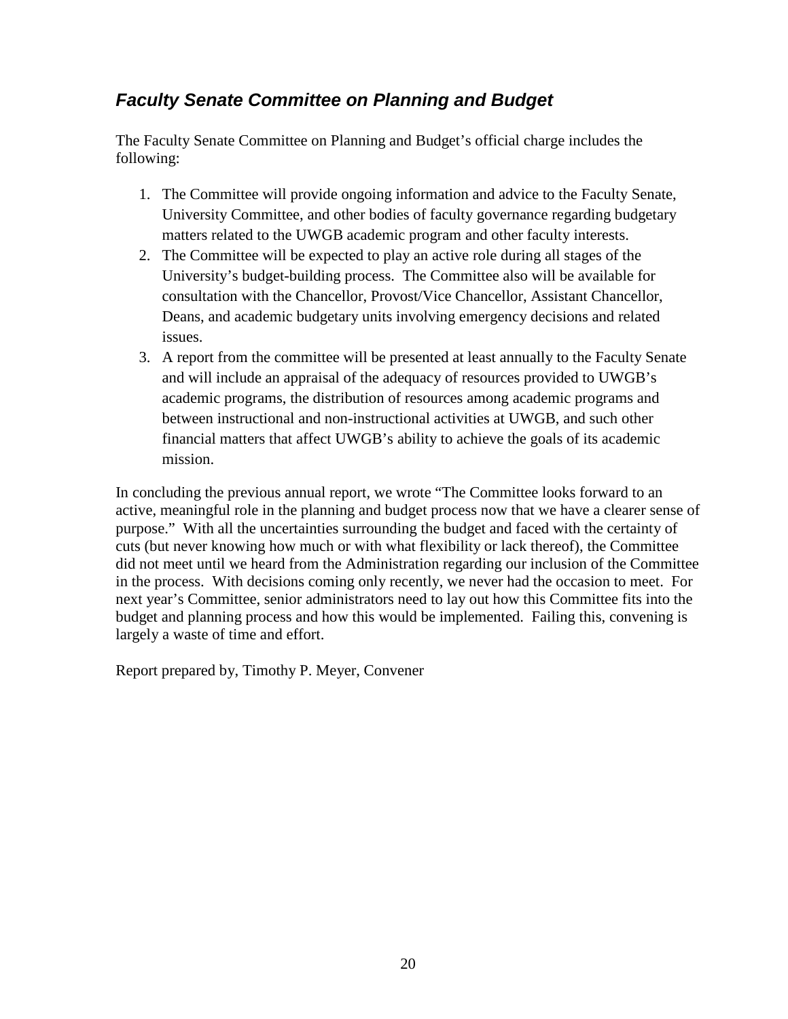## <span id="page-19-0"></span>*Faculty Senate Committee on Planning and Budget*

The Faculty Senate Committee on Planning and Budget's official charge includes the following:

- 1. The Committee will provide ongoing information and advice to the Faculty Senate, University Committee, and other bodies of faculty governance regarding budgetary matters related to the UWGB academic program and other faculty interests.
- 2. The Committee will be expected to play an active role during all stages of the University's budget-building process. The Committee also will be available for consultation with the Chancellor, Provost/Vice Chancellor, Assistant Chancellor, Deans, and academic budgetary units involving emergency decisions and related issues.
- 3. A report from the committee will be presented at least annually to the Faculty Senate and will include an appraisal of the adequacy of resources provided to UWGB's academic programs, the distribution of resources among academic programs and between instructional and non-instructional activities at UWGB, and such other financial matters that affect UWGB's ability to achieve the goals of its academic mission.

In concluding the previous annual report, we wrote "The Committee looks forward to an active, meaningful role in the planning and budget process now that we have a clearer sense of purpose." With all the uncertainties surrounding the budget and faced with the certainty of cuts (but never knowing how much or with what flexibility or lack thereof), the Committee did not meet until we heard from the Administration regarding our inclusion of the Committee in the process. With decisions coming only recently, we never had the occasion to meet. For next year's Committee, senior administrators need to lay out how this Committee fits into the budget and planning process and how this would be implemented. Failing this, convening is largely a waste of time and effort.

Report prepared by, Timothy P. Meyer, Convener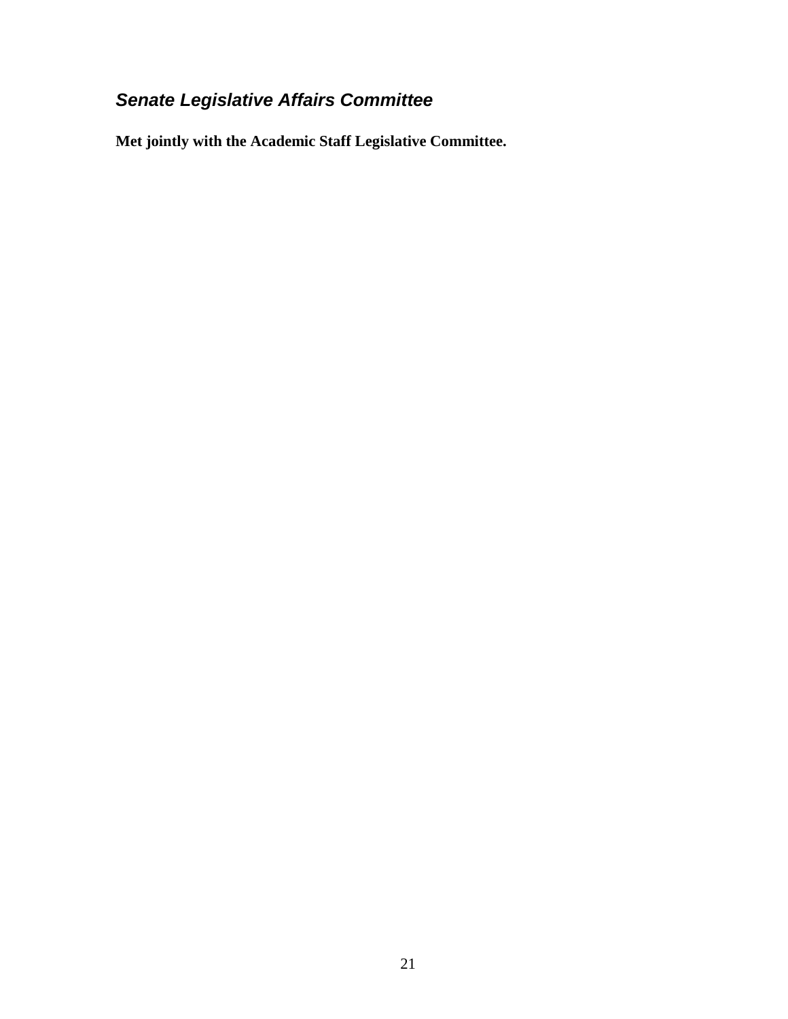## <span id="page-20-0"></span>*Senate Legislative Affairs Committee*

**Met jointly with the Academic Staff Legislative Committee.**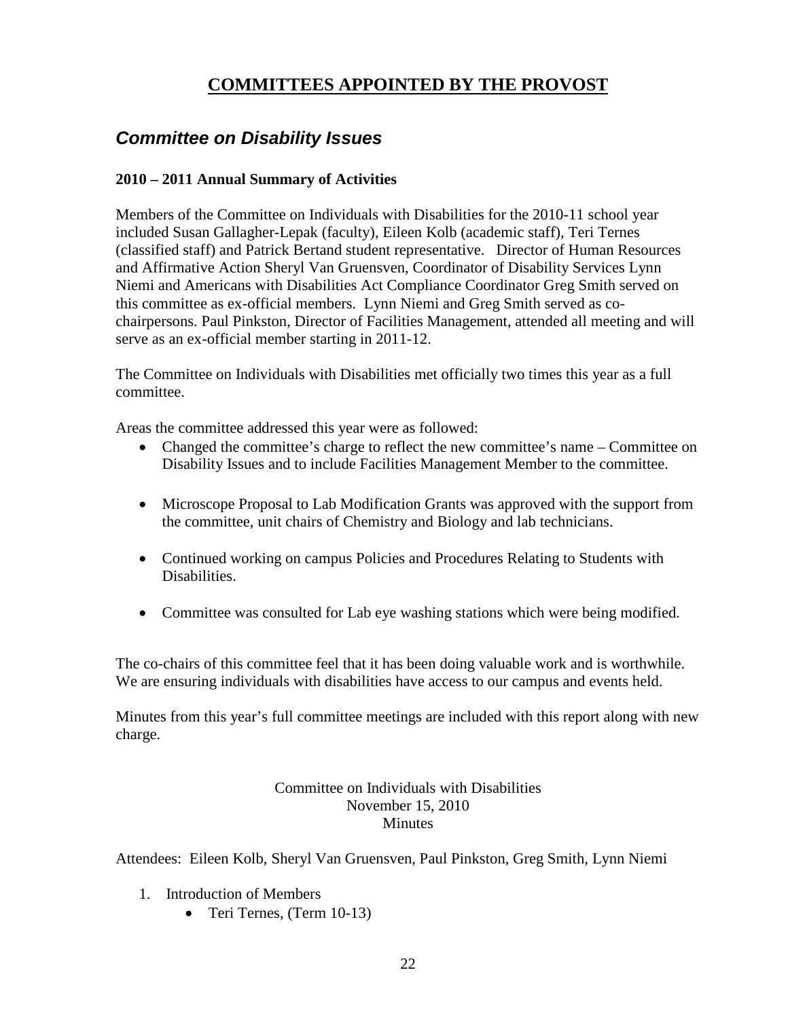## **COMMITTEES APPOINTED BY THE PROVOST**

## <span id="page-21-1"></span><span id="page-21-0"></span>*Committee on Disability Issues*

### **2010 – 2011 Annual Summary of Activities**

Members of the Committee on Individuals with Disabilities for the 2010-11 school year included Susan Gallagher-Lepak (faculty), Eileen Kolb (academic staff), Teri Ternes (classified staff) and Patrick Bertand student representative. Director of Human Resources and Affirmative Action Sheryl Van Gruensven, Coordinator of Disability Services Lynn Niemi and Americans with Disabilities Act Compliance Coordinator Greg Smith served on this committee as ex-official members. Lynn Niemi and Greg Smith served as cochairpersons. Paul Pinkston, Director of Facilities Management, attended all meeting and will serve as an ex-official member starting in 2011-12.

The Committee on Individuals with Disabilities met officially two times this year as a full committee.

Areas the committee addressed this year were as followed:

- Changed the committee's charge to reflect the new committee's name Committee on Disability Issues and to include Facilities Management Member to the committee.
- Microscope Proposal to Lab Modification Grants was approved with the support from the committee, unit chairs of Chemistry and Biology and lab technicians.
- Continued working on campus Policies and Procedures Relating to Students with Disabilities.
- Committee was consulted for Lab eye washing stations which were being modified.

The co-chairs of this committee feel that it has been doing valuable work and is worthwhile. We are ensuring individuals with disabilities have access to our campus and events held.

Minutes from this year's full committee meetings are included with this report along with new charge.

#### Committee on Individuals with Disabilities November 15, 2010 Minutes

Attendees: Eileen Kolb, Sheryl Van Gruensven, Paul Pinkston, Greg Smith, Lynn Niemi

- 1. Introduction of Members
	- Teri Ternes, (Term 10-13)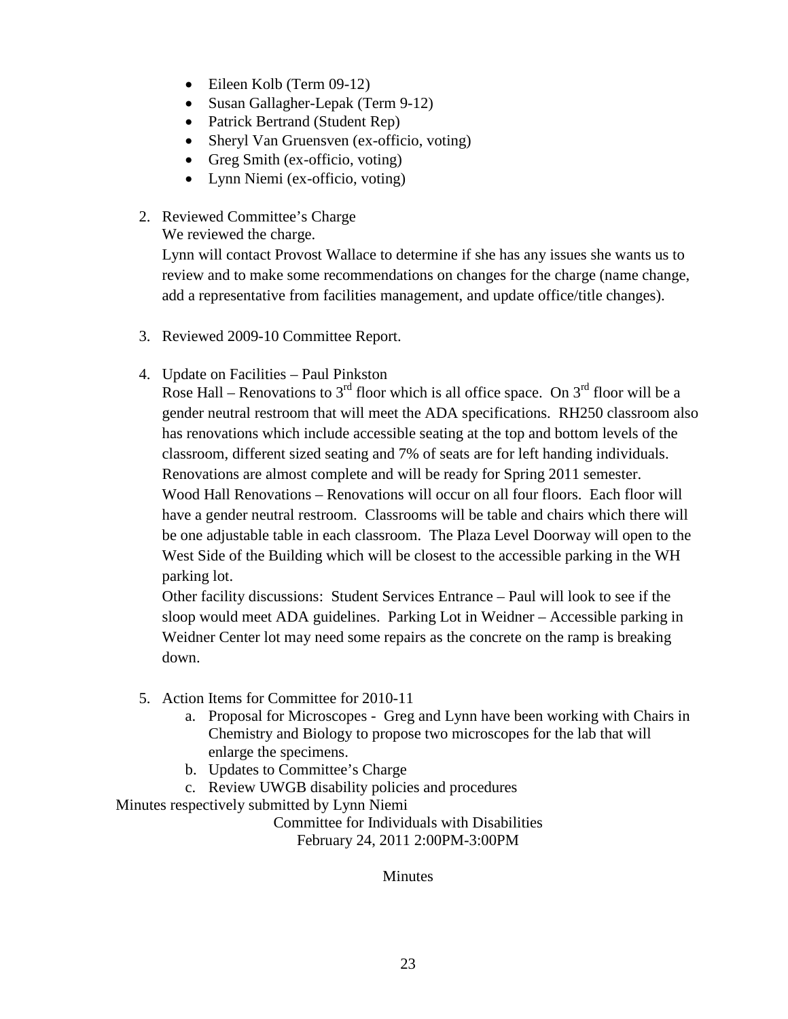- Eileen Kolb (Term 09-12)
- Susan Gallagher-Lepak (Term 9-12)
- Patrick Bertrand (Student Rep)
- Sheryl Van Gruensven (ex-officio, voting)
- Greg Smith (ex-officio, voting)
- Lynn Niemi (ex-officio, voting)
- 2. Reviewed Committee's Charge

We reviewed the charge.

Lynn will contact Provost Wallace to determine if she has any issues she wants us to review and to make some recommendations on changes for the charge (name change, add a representative from facilities management, and update office/title changes).

- 3. Reviewed 2009-10 Committee Report.
- 4. Update on Facilities Paul Pinkston

Rose Hall – Renovations to  $3<sup>rd</sup>$  floor which is all office space. On  $3<sup>rd</sup>$  floor will be a gender neutral restroom that will meet the ADA specifications. RH250 classroom also has renovations which include accessible seating at the top and bottom levels of the classroom, different sized seating and 7% of seats are for left handing individuals. Renovations are almost complete and will be ready for Spring 2011 semester. Wood Hall Renovations – Renovations will occur on all four floors. Each floor will have a gender neutral restroom. Classrooms will be table and chairs which there will be one adjustable table in each classroom. The Plaza Level Doorway will open to the West Side of the Building which will be closest to the accessible parking in the WH parking lot.

Other facility discussions: Student Services Entrance – Paul will look to see if the sloop would meet ADA guidelines. Parking Lot in Weidner – Accessible parking in Weidner Center lot may need some repairs as the concrete on the ramp is breaking down.

- 5. Action Items for Committee for 2010-11
	- a. Proposal for Microscopes Greg and Lynn have been working with Chairs in Chemistry and Biology to propose two microscopes for the lab that will enlarge the specimens.
	- b. Updates to Committee's Charge
	- c. Review UWGB disability policies and procedures

Minutes respectively submitted by Lynn Niemi

Committee for Individuals with Disabilities February 24, 2011 2:00PM-3:00PM

Minutes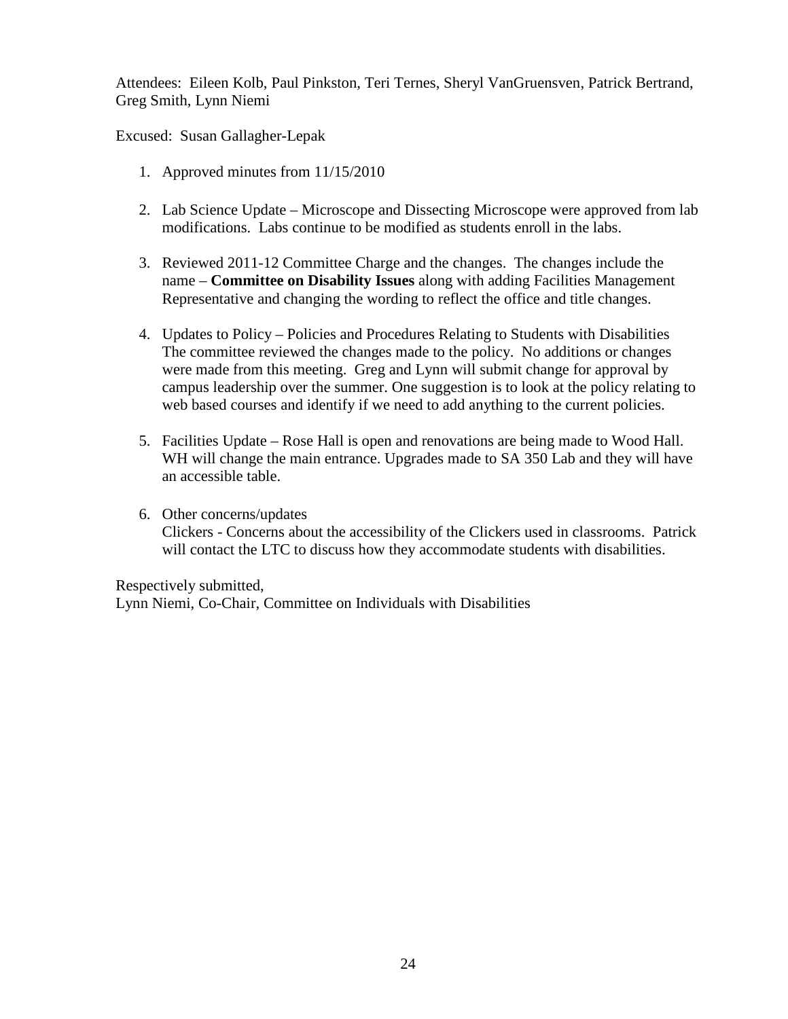Attendees: Eileen Kolb, Paul Pinkston, Teri Ternes, Sheryl VanGruensven, Patrick Bertrand, Greg Smith, Lynn Niemi

Excused: Susan Gallagher-Lepak

- 1. Approved minutes from 11/15/2010
- 2. Lab Science Update Microscope and Dissecting Microscope were approved from lab modifications. Labs continue to be modified as students enroll in the labs.
- 3. Reviewed 2011-12 Committee Charge and the changes. The changes include the name – **Committee on Disability Issues** along with adding Facilities Management Representative and changing the wording to reflect the office and title changes.
- 4. Updates to Policy Policies and Procedures Relating to Students with Disabilities The committee reviewed the changes made to the policy. No additions or changes were made from this meeting. Greg and Lynn will submit change for approval by campus leadership over the summer. One suggestion is to look at the policy relating to web based courses and identify if we need to add anything to the current policies.
- 5. Facilities Update Rose Hall is open and renovations are being made to Wood Hall. WH will change the main entrance. Upgrades made to SA 350 Lab and they will have an accessible table.
- 6. Other concerns/updates Clickers - Concerns about the accessibility of the Clickers used in classrooms. Patrick will contact the LTC to discuss how they accommodate students with disabilities.

Respectively submitted, Lynn Niemi, Co-Chair, Committee on Individuals with Disabilities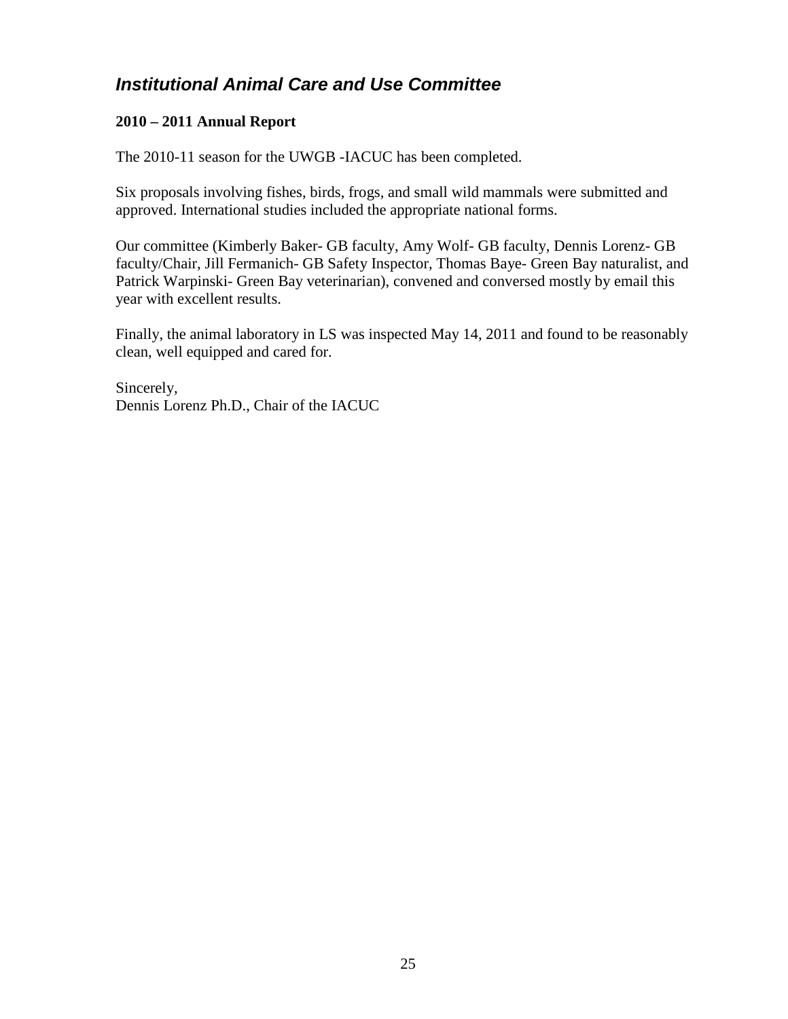## <span id="page-24-0"></span>*Institutional Animal Care and Use Committee*

### **2010 – 2011 Annual Report**

The 2010-11 season for the UWGB -IACUC has been completed.

Six proposals involving fishes, birds, frogs, and small wild mammals were submitted and approved. International studies included the appropriate national forms.

Our committee (Kimberly Baker- GB faculty, Amy Wolf- GB faculty, Dennis Lorenz- GB faculty/Chair, Jill Fermanich- GB Safety Inspector, Thomas Baye- Green Bay naturalist, and Patrick Warpinski- Green Bay veterinarian), convened and conversed mostly by email this year with excellent results.

Finally, the animal laboratory in LS was inspected May 14, 2011 and found to be reasonably clean, well equipped and cared for.

Sincerely, Dennis Lorenz Ph.D., Chair of the IACUC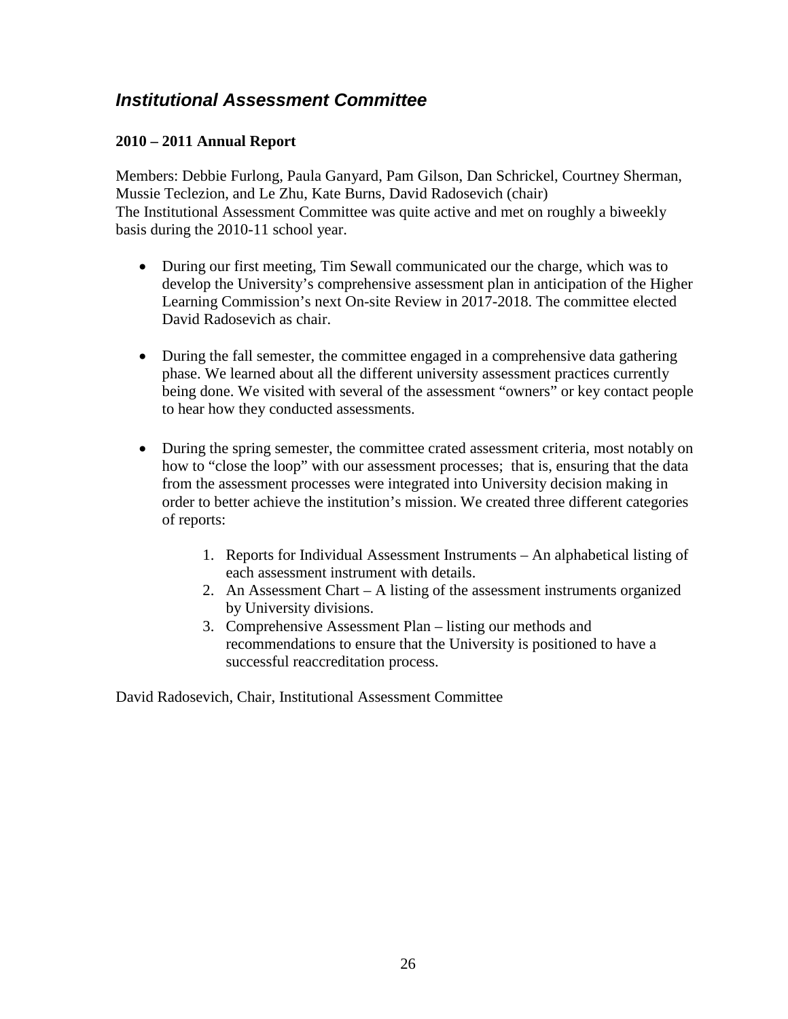## <span id="page-25-0"></span>*Institutional Assessment Committee*

### **2010 – 2011 Annual Report**

Members: Debbie Furlong, Paula Ganyard, Pam Gilson, Dan Schrickel, Courtney Sherman, Mussie Teclezion, and Le Zhu, Kate Burns, David Radosevich (chair) The Institutional Assessment Committee was quite active and met on roughly a biweekly basis during the 2010-11 school year.

- During our first meeting, Tim Sewall communicated our the charge, which was to develop the University's comprehensive assessment plan in anticipation of the Higher Learning Commission's next On-site Review in 2017-2018. The committee elected David Radosevich as chair.
- During the fall semester, the committee engaged in a comprehensive data gathering phase. We learned about all the different university assessment practices currently being done. We visited with several of the assessment "owners" or key contact people to hear how they conducted assessments.
- During the spring semester, the committee crated assessment criteria, most notably on how to "close the loop" with our assessment processes; that is, ensuring that the data from the assessment processes were integrated into University decision making in order to better achieve the institution's mission. We created three different categories of reports:
	- 1. Reports for Individual Assessment Instruments An alphabetical listing of each assessment instrument with details.
	- 2. An Assessment Chart A listing of the assessment instruments organized by University divisions.
	- 3. Comprehensive Assessment Plan listing our methods and recommendations to ensure that the University is positioned to have a successful reaccreditation process.

David Radosevich, Chair, Institutional Assessment Committee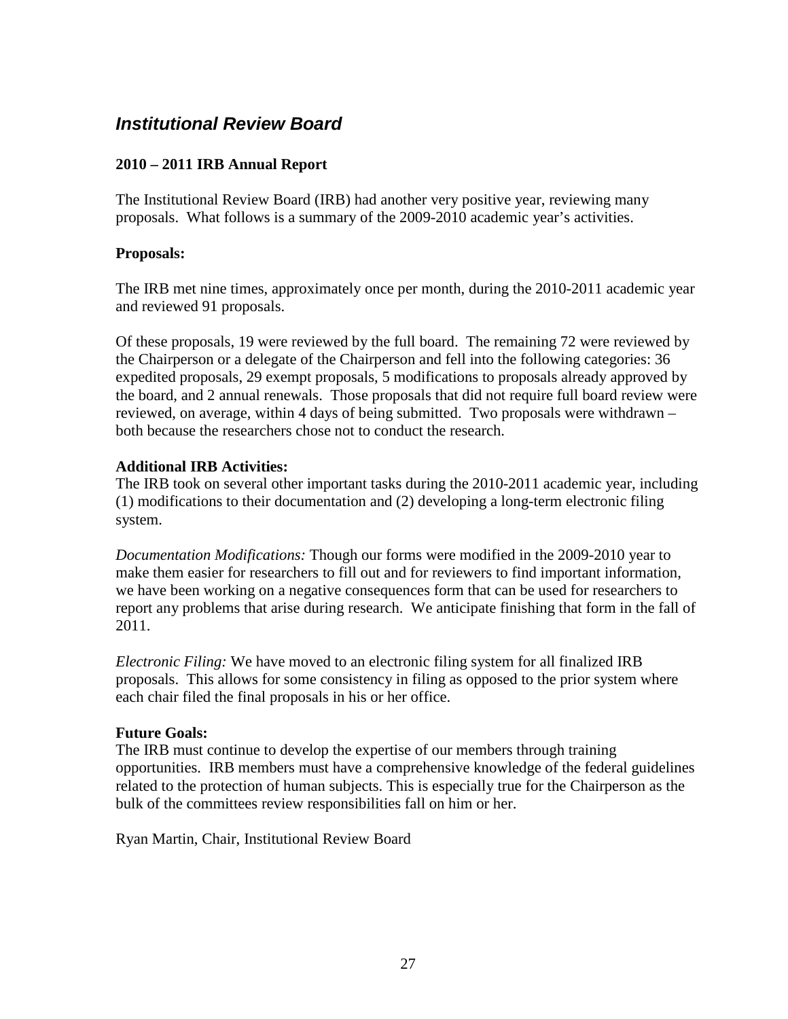## <span id="page-26-0"></span>*Institutional Review Board*

### **2010 – 2011 IRB Annual Report**

The Institutional Review Board (IRB) had another very positive year, reviewing many proposals. What follows is a summary of the 2009-2010 academic year's activities.

### **Proposals:**

The IRB met nine times, approximately once per month, during the 2010-2011 academic year and reviewed 91 proposals.

Of these proposals, 19 were reviewed by the full board. The remaining 72 were reviewed by the Chairperson or a delegate of the Chairperson and fell into the following categories: 36 expedited proposals, 29 exempt proposals, 5 modifications to proposals already approved by the board, and 2 annual renewals. Those proposals that did not require full board review were reviewed, on average, within 4 days of being submitted. Two proposals were withdrawn – both because the researchers chose not to conduct the research.

### **Additional IRB Activities:**

The IRB took on several other important tasks during the 2010-2011 academic year, including (1) modifications to their documentation and (2) developing a long-term electronic filing system.

*Documentation Modifications:* Though our forms were modified in the 2009-2010 year to make them easier for researchers to fill out and for reviewers to find important information, we have been working on a negative consequences form that can be used for researchers to report any problems that arise during research. We anticipate finishing that form in the fall of 2011.

*Electronic Filing:* We have moved to an electronic filing system for all finalized IRB proposals. This allows for some consistency in filing as opposed to the prior system where each chair filed the final proposals in his or her office.

#### **Future Goals:**

The IRB must continue to develop the expertise of our members through training opportunities. IRB members must have a comprehensive knowledge of the federal guidelines related to the protection of human subjects. This is especially true for the Chairperson as the bulk of the committees review responsibilities fall on him or her.

Ryan Martin, Chair, Institutional Review Board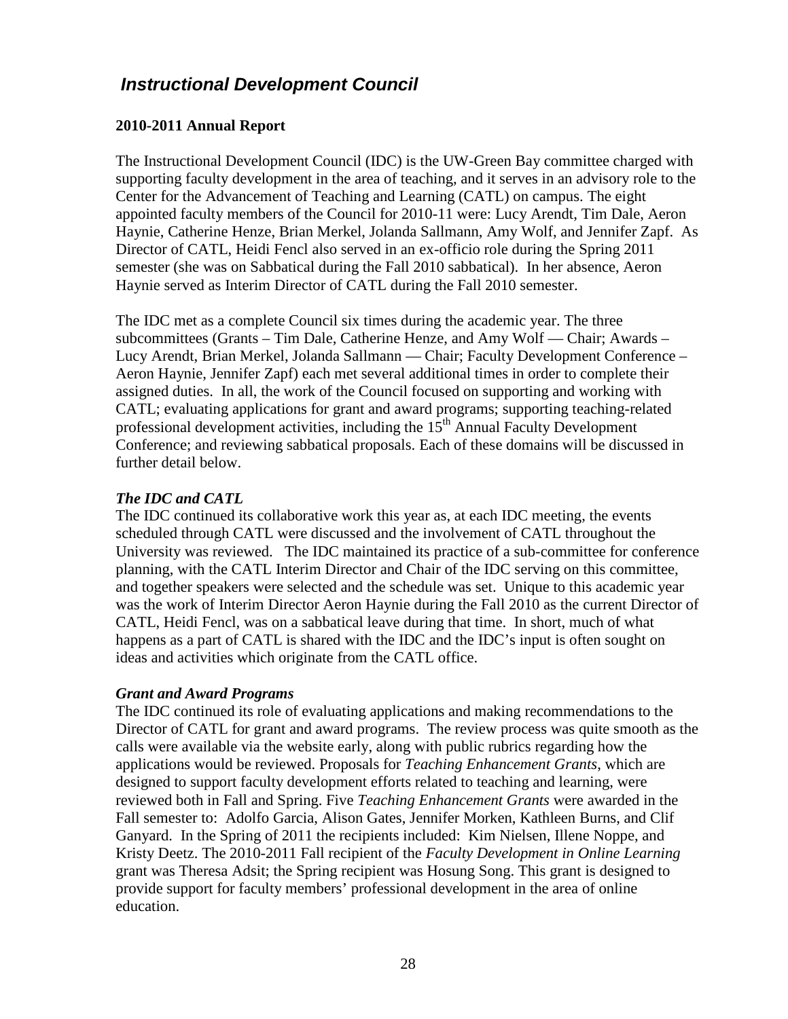## <span id="page-27-0"></span>*Instructional Development Council*

### **2010-2011 Annual Report**

The Instructional Development Council (IDC) is the UW-Green Bay committee charged with supporting faculty development in the area of teaching, and it serves in an advisory role to the Center for the Advancement of Teaching and Learning (CATL) on campus. The eight appointed faculty members of the Council for 2010-11 were: Lucy Arendt, Tim Dale, Aeron Haynie, Catherine Henze, Brian Merkel, Jolanda Sallmann, Amy Wolf, and Jennifer Zapf. As Director of CATL, Heidi Fencl also served in an ex-officio role during the Spring 2011 semester (she was on Sabbatical during the Fall 2010 sabbatical). In her absence, Aeron Haynie served as Interim Director of CATL during the Fall 2010 semester.

The IDC met as a complete Council six times during the academic year. The three subcommittees (Grants – Tim Dale, Catherine Henze, and Amy Wolf — Chair; Awards – Lucy Arendt, Brian Merkel, Jolanda Sallmann — Chair; Faculty Development Conference – Aeron Haynie, Jennifer Zapf) each met several additional times in order to complete their assigned duties. In all, the work of the Council focused on supporting and working with CATL; evaluating applications for grant and award programs; supporting teaching-related professional development activities, including the  $15<sup>th</sup>$  Annual Faculty Development Conference; and reviewing sabbatical proposals. Each of these domains will be discussed in further detail below.

### *The IDC and CATL*

The IDC continued its collaborative work this year as, at each IDC meeting, the events scheduled through CATL were discussed and the involvement of CATL throughout the University was reviewed. The IDC maintained its practice of a sub-committee for conference planning, with the CATL Interim Director and Chair of the IDC serving on this committee, and together speakers were selected and the schedule was set. Unique to this academic year was the work of Interim Director Aeron Haynie during the Fall 2010 as the current Director of CATL, Heidi Fencl, was on a sabbatical leave during that time. In short, much of what happens as a part of CATL is shared with the IDC and the IDC's input is often sought on ideas and activities which originate from the CATL office.

### *Grant and Award Programs*

The IDC continued its role of evaluating applications and making recommendations to the Director of CATL for grant and award programs. The review process was quite smooth as the calls were available via the website early, along with public rubrics regarding how the applications would be reviewed. Proposals for *Teaching Enhancement Grants*, which are designed to support faculty development efforts related to teaching and learning, were reviewed both in Fall and Spring. Five *Teaching Enhancement Grants* were awarded in the Fall semester to: Adolfo Garcia, Alison Gates, Jennifer Morken, Kathleen Burns, and Clif Ganyard. In the Spring of 2011 the recipients included: Kim Nielsen, Illene Noppe, and Kristy Deetz. The 2010-2011 Fall recipient of the *Faculty Development in Online Learning* grant was Theresa Adsit; the Spring recipient was Hosung Song. This grant is designed to provide support for faculty members' professional development in the area of online education.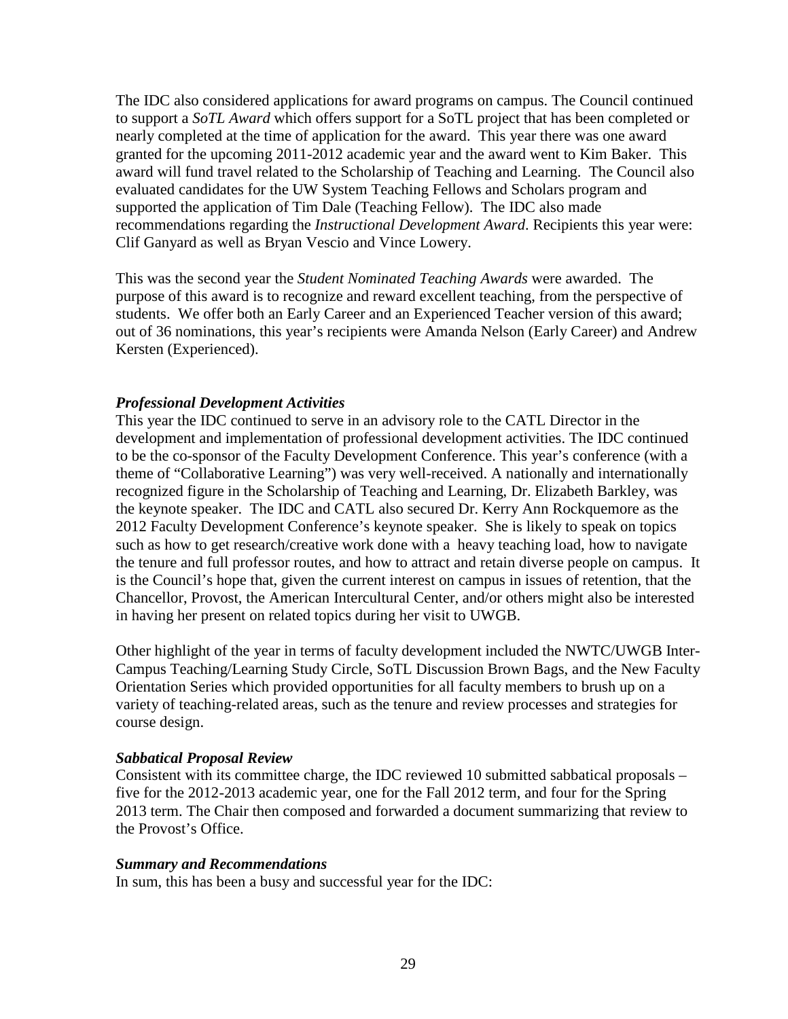The IDC also considered applications for award programs on campus. The Council continued to support a *SoTL Award* which offers support for a SoTL project that has been completed or nearly completed at the time of application for the award. This year there was one award granted for the upcoming 2011-2012 academic year and the award went to Kim Baker. This award will fund travel related to the Scholarship of Teaching and Learning. The Council also evaluated candidates for the UW System Teaching Fellows and Scholars program and supported the application of Tim Dale (Teaching Fellow). The IDC also made recommendations regarding the *Instructional Development Award*. Recipients this year were: Clif Ganyard as well as Bryan Vescio and Vince Lowery.

This was the second year the *Student Nominated Teaching Awards* were awarded. The purpose of this award is to recognize and reward excellent teaching, from the perspective of students. We offer both an Early Career and an Experienced Teacher version of this award; out of 36 nominations, this year's recipients were Amanda Nelson (Early Career) and Andrew Kersten (Experienced).

#### *Professional Development Activities*

This year the IDC continued to serve in an advisory role to the CATL Director in the development and implementation of professional development activities. The IDC continued to be the co-sponsor of the Faculty Development Conference. This year's conference (with a theme of "Collaborative Learning") was very well-received. A nationally and internationally recognized figure in the Scholarship of Teaching and Learning, Dr. Elizabeth Barkley, was the keynote speaker. The IDC and CATL also secured Dr. Kerry Ann Rockquemore as the 2012 Faculty Development Conference's keynote speaker. She is likely to speak on topics such as how to get research/creative work done with a heavy teaching load, how to navigate the tenure and full professor routes, and how to attract and retain diverse people on campus. It is the Council's hope that, given the current interest on campus in issues of retention, that the Chancellor, Provost, the American Intercultural Center, and/or others might also be interested in having her present on related topics during her visit to UWGB.

Other highlight of the year in terms of faculty development included the NWTC/UWGB Inter-Campus Teaching/Learning Study Circle, SoTL Discussion Brown Bags, and the New Faculty Orientation Series which provided opportunities for all faculty members to brush up on a variety of teaching-related areas, such as the tenure and review processes and strategies for course design.

#### *Sabbatical Proposal Review*

Consistent with its committee charge, the IDC reviewed 10 submitted sabbatical proposals – five for the 2012-2013 academic year, one for the Fall 2012 term, and four for the Spring 2013 term. The Chair then composed and forwarded a document summarizing that review to the Provost's Office.

#### *Summary and Recommendations*

In sum, this has been a busy and successful year for the IDC: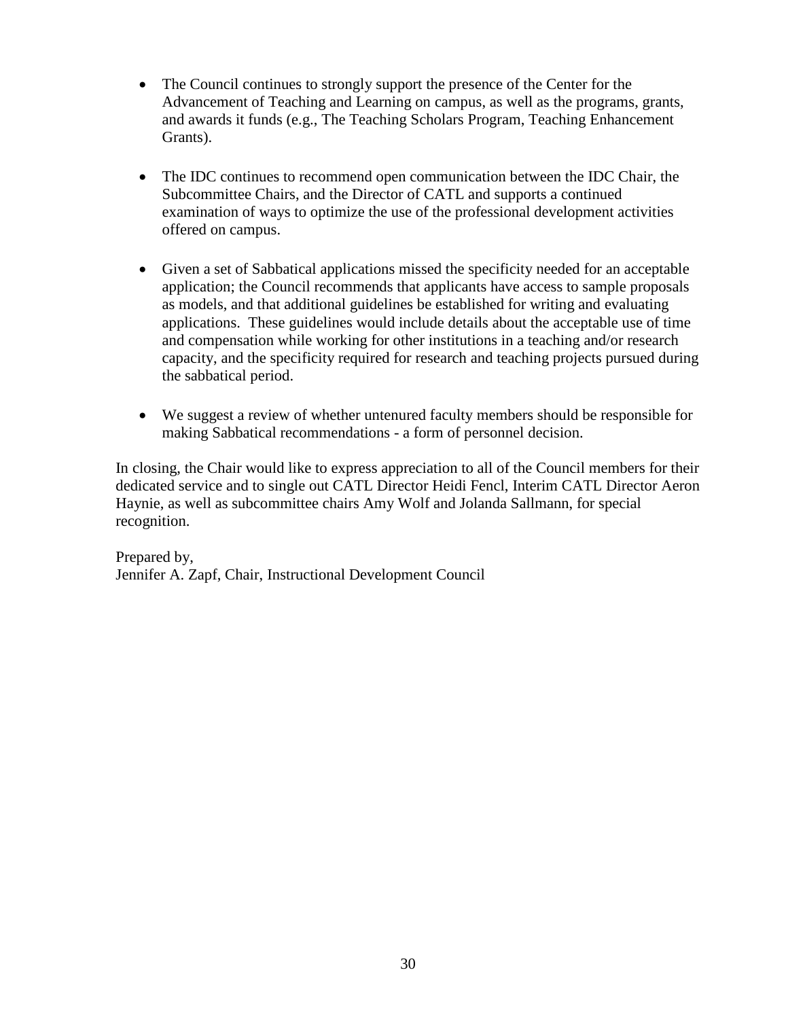- The Council continues to strongly support the presence of the Center for the Advancement of Teaching and Learning on campus, as well as the programs, grants, and awards it funds (e.g., The Teaching Scholars Program, Teaching Enhancement Grants).
- The IDC continues to recommend open communication between the IDC Chair, the Subcommittee Chairs, and the Director of CATL and supports a continued examination of ways to optimize the use of the professional development activities offered on campus.
- Given a set of Sabbatical applications missed the specificity needed for an acceptable application; the Council recommends that applicants have access to sample proposals as models, and that additional guidelines be established for writing and evaluating applications. These guidelines would include details about the acceptable use of time and compensation while working for other institutions in a teaching and/or research capacity, and the specificity required for research and teaching projects pursued during the sabbatical period.
- We suggest a review of whether untenured faculty members should be responsible for making Sabbatical recommendations - a form of personnel decision.

In closing, the Chair would like to express appreciation to all of the Council members for their dedicated service and to single out CATL Director Heidi Fencl, Interim CATL Director Aeron Haynie, as well as subcommittee chairs Amy Wolf and Jolanda Sallmann, for special recognition.

Prepared by, Jennifer A. Zapf, Chair, Instructional Development Council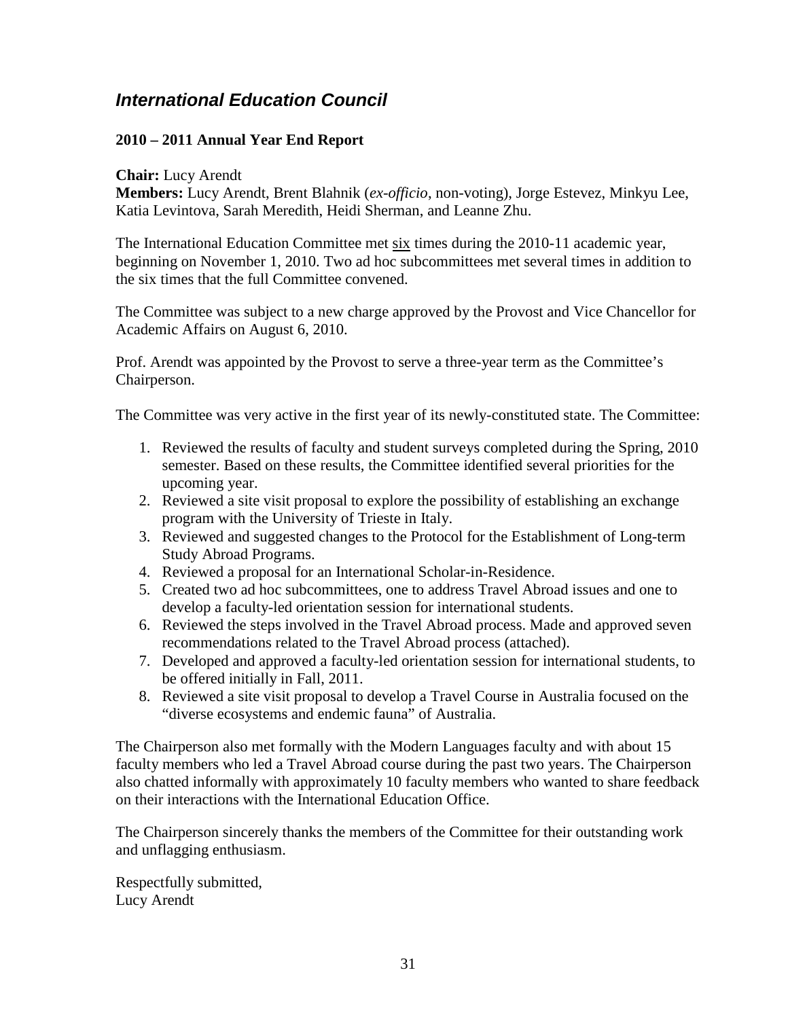## <span id="page-30-0"></span>*International Education Council*

### **2010 – 2011 Annual Year End Report**

#### **Chair:** Lucy Arendt

**Members:** Lucy Arendt, Brent Blahnik (*ex-officio*, non-voting), Jorge Estevez, Minkyu Lee, Katia Levintova, Sarah Meredith, Heidi Sherman, and Leanne Zhu.

The International Education Committee met six times during the 2010-11 academic year, beginning on November 1, 2010. Two ad hoc subcommittees met several times in addition to the six times that the full Committee convened.

The Committee was subject to a new charge approved by the Provost and Vice Chancellor for Academic Affairs on August 6, 2010.

Prof. Arendt was appointed by the Provost to serve a three-year term as the Committee's Chairperson.

The Committee was very active in the first year of its newly-constituted state. The Committee:

- 1. Reviewed the results of faculty and student surveys completed during the Spring, 2010 semester. Based on these results, the Committee identified several priorities for the upcoming year.
- 2. Reviewed a site visit proposal to explore the possibility of establishing an exchange program with the University of Trieste in Italy.
- 3. Reviewed and suggested changes to the Protocol for the Establishment of Long-term Study Abroad Programs.
- 4. Reviewed a proposal for an International Scholar-in-Residence.
- 5. Created two ad hoc subcommittees, one to address Travel Abroad issues and one to develop a faculty-led orientation session for international students.
- 6. Reviewed the steps involved in the Travel Abroad process. Made and approved seven recommendations related to the Travel Abroad process (attached).
- 7. Developed and approved a faculty-led orientation session for international students, to be offered initially in Fall, 2011.
- 8. Reviewed a site visit proposal to develop a Travel Course in Australia focused on the "diverse ecosystems and endemic fauna" of Australia.

The Chairperson also met formally with the Modern Languages faculty and with about 15 faculty members who led a Travel Abroad course during the past two years. The Chairperson also chatted informally with approximately 10 faculty members who wanted to share feedback on their interactions with the International Education Office.

The Chairperson sincerely thanks the members of the Committee for their outstanding work and unflagging enthusiasm.

Respectfully submitted, Lucy Arendt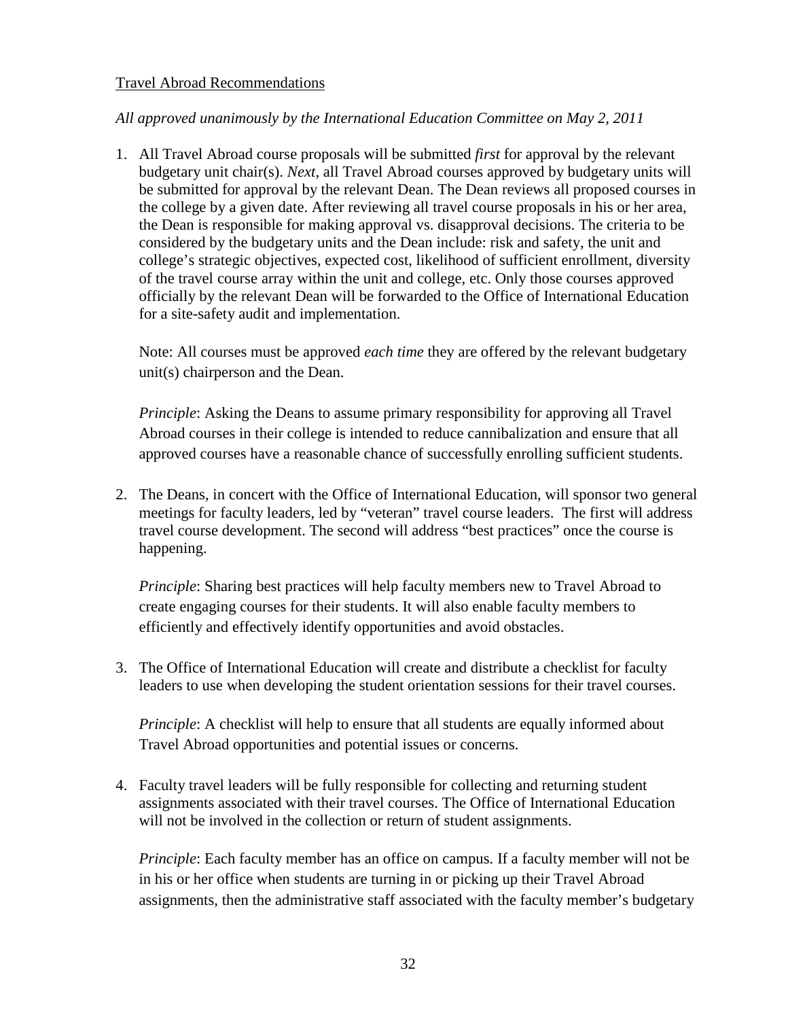#### Travel Abroad Recommendations

### *All approved unanimously by the International Education Committee on May 2, 2011*

1. All Travel Abroad course proposals will be submitted *first* for approval by the relevant budgetary unit chair(s). *Next*, all Travel Abroad courses approved by budgetary units will be submitted for approval by the relevant Dean. The Dean reviews all proposed courses in the college by a given date. After reviewing all travel course proposals in his or her area, the Dean is responsible for making approval vs. disapproval decisions. The criteria to be considered by the budgetary units and the Dean include: risk and safety, the unit and college's strategic objectives, expected cost, likelihood of sufficient enrollment, diversity of the travel course array within the unit and college, etc. Only those courses approved officially by the relevant Dean will be forwarded to the Office of International Education for a site-safety audit and implementation.

Note: All courses must be approved *each time* they are offered by the relevant budgetary unit(s) chairperson and the Dean.

*Principle*: Asking the Deans to assume primary responsibility for approving all Travel Abroad courses in their college is intended to reduce cannibalization and ensure that all approved courses have a reasonable chance of successfully enrolling sufficient students.

2. The Deans, in concert with the Office of International Education, will sponsor two general meetings for faculty leaders, led by "veteran" travel course leaders. The first will address travel course development. The second will address "best practices" once the course is happening.

*Principle*: Sharing best practices will help faculty members new to Travel Abroad to create engaging courses for their students. It will also enable faculty members to efficiently and effectively identify opportunities and avoid obstacles.

3. The Office of International Education will create and distribute a checklist for faculty leaders to use when developing the student orientation sessions for their travel courses.

*Principle*: A checklist will help to ensure that all students are equally informed about Travel Abroad opportunities and potential issues or concerns.

4. Faculty travel leaders will be fully responsible for collecting and returning student assignments associated with their travel courses. The Office of International Education will not be involved in the collection or return of student assignments.

*Principle*: Each faculty member has an office on campus. If a faculty member will not be in his or her office when students are turning in or picking up their Travel Abroad assignments, then the administrative staff associated with the faculty member's budgetary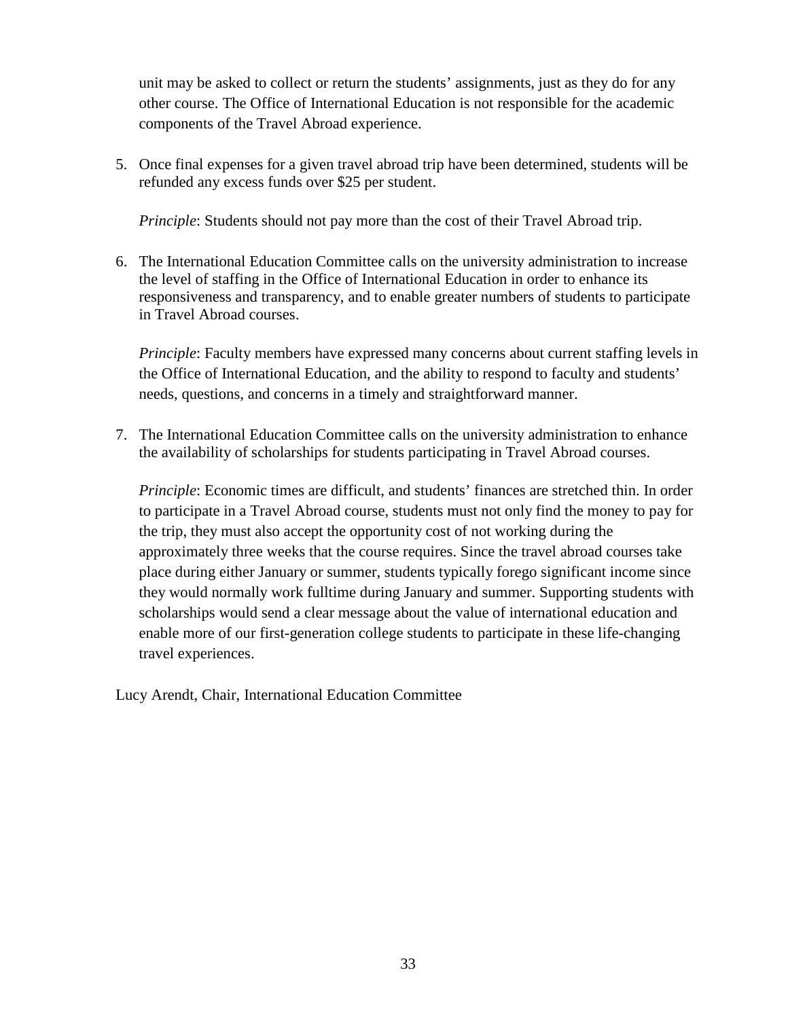unit may be asked to collect or return the students' assignments, just as they do for any other course. The Office of International Education is not responsible for the academic components of the Travel Abroad experience.

5. Once final expenses for a given travel abroad trip have been determined, students will be refunded any excess funds over \$25 per student.

*Principle*: Students should not pay more than the cost of their Travel Abroad trip.

6. The International Education Committee calls on the university administration to increase the level of staffing in the Office of International Education in order to enhance its responsiveness and transparency, and to enable greater numbers of students to participate in Travel Abroad courses.

*Principle*: Faculty members have expressed many concerns about current staffing levels in the Office of International Education, and the ability to respond to faculty and students' needs, questions, and concerns in a timely and straightforward manner.

7. The International Education Committee calls on the university administration to enhance the availability of scholarships for students participating in Travel Abroad courses.

*Principle*: Economic times are difficult, and students' finances are stretched thin. In order to participate in a Travel Abroad course, students must not only find the money to pay for the trip, they must also accept the opportunity cost of not working during the approximately three weeks that the course requires. Since the travel abroad courses take place during either January or summer, students typically forego significant income since they would normally work fulltime during January and summer. Supporting students with scholarships would send a clear message about the value of international education and enable more of our first-generation college students to participate in these life-changing travel experiences.

Lucy Arendt, Chair, International Education Committee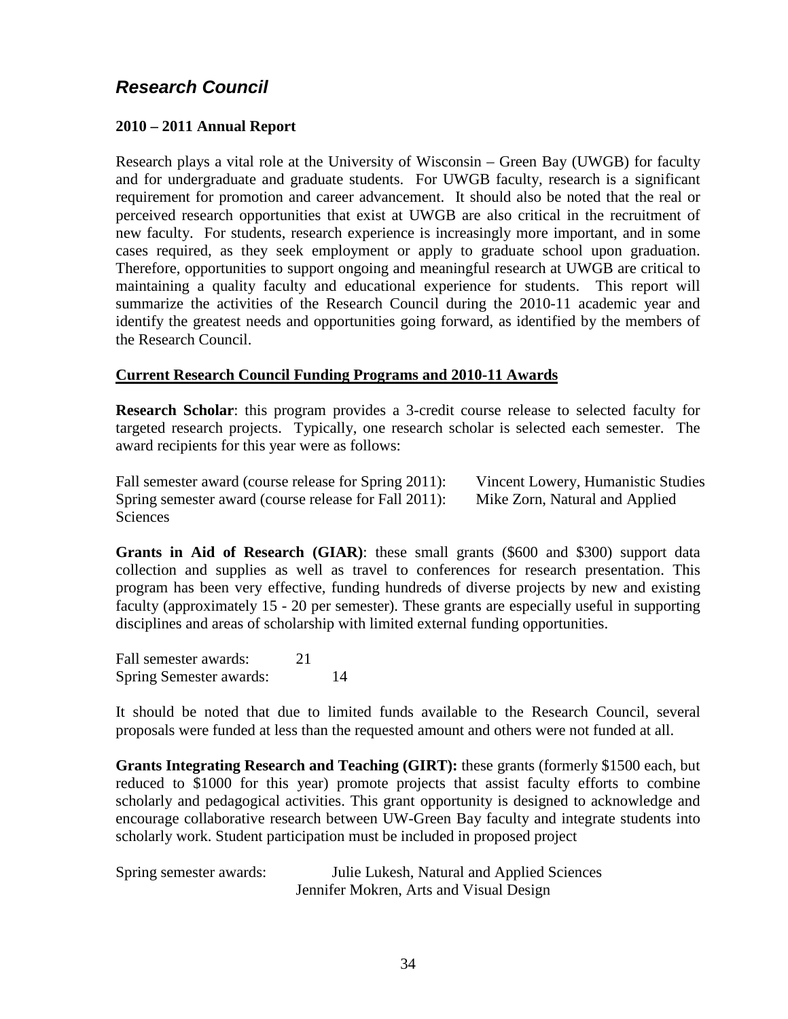## <span id="page-33-0"></span>*Research Council*

### **2010 – 2011 Annual Report**

Research plays a vital role at the University of Wisconsin – Green Bay (UWGB) for faculty and for undergraduate and graduate students. For UWGB faculty, research is a significant requirement for promotion and career advancement. It should also be noted that the real or perceived research opportunities that exist at UWGB are also critical in the recruitment of new faculty. For students, research experience is increasingly more important, and in some cases required, as they seek employment or apply to graduate school upon graduation. Therefore, opportunities to support ongoing and meaningful research at UWGB are critical to maintaining a quality faculty and educational experience for students. This report will summarize the activities of the Research Council during the 2010-11 academic year and identify the greatest needs and opportunities going forward, as identified by the members of the Research Council.

### **Current Research Council Funding Programs and 2010-11 Awards**

**Research Scholar**: this program provides a 3-credit course release to selected faculty for targeted research projects. Typically, one research scholar is selected each semester. The award recipients for this year were as follows:

Fall semester award (course release for Spring 2011): Vincent Lowery, Humanistic Studies Spring semester award (course release for Fall 2011): Mike Zorn, Natural and Applied **Sciences** 

**Grants in Aid of Research (GIAR)**: these small grants (\$600 and \$300) support data collection and supplies as well as travel to conferences for research presentation. This program has been very effective, funding hundreds of diverse projects by new and existing faculty (approximately 15 - 20 per semester). These grants are especially useful in supporting disciplines and areas of scholarship with limited external funding opportunities.

Fall semester awards: 21 Spring Semester awards: 14

It should be noted that due to limited funds available to the Research Council, several proposals were funded at less than the requested amount and others were not funded at all.

**Grants Integrating Research and Teaching (GIRT):** these grants (formerly \$1500 each, but reduced to \$1000 for this year) promote projects that assist faculty efforts to combine scholarly and pedagogical activities. This grant opportunity is designed to acknowledge and encourage collaborative research between UW-Green Bay faculty and integrate students into scholarly work. Student participation must be included in proposed project

| Spring semester awards: | Julie Lukesh, Natural and Applied Sciences |
|-------------------------|--------------------------------------------|
|                         | Jennifer Mokren, Arts and Visual Design    |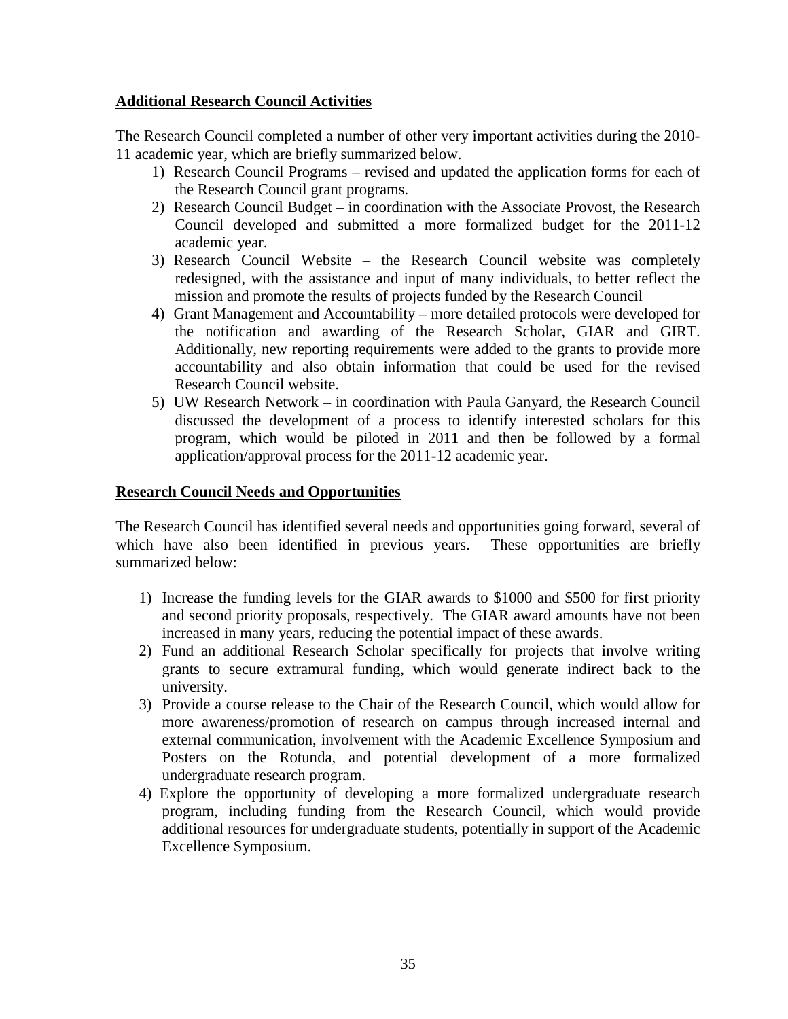### **Additional Research Council Activities**

The Research Council completed a number of other very important activities during the 2010- 11 academic year, which are briefly summarized below.

- 1) Research Council Programs revised and updated the application forms for each of the Research Council grant programs.
- 2) Research Council Budget in coordination with the Associate Provost, the Research Council developed and submitted a more formalized budget for the 2011-12 academic year.
- 3) Research Council Website the Research Council website was completely redesigned, with the assistance and input of many individuals, to better reflect the mission and promote the results of projects funded by the Research Council
- 4) Grant Management and Accountability more detailed protocols were developed for the notification and awarding of the Research Scholar, GIAR and GIRT. Additionally, new reporting requirements were added to the grants to provide more accountability and also obtain information that could be used for the revised Research Council website.
- 5) UW Research Network in coordination with Paula Ganyard, the Research Council discussed the development of a process to identify interested scholars for this program, which would be piloted in 2011 and then be followed by a formal application/approval process for the 2011-12 academic year.

### **Research Council Needs and Opportunities**

The Research Council has identified several needs and opportunities going forward, several of which have also been identified in previous years. These opportunities are briefly summarized below:

- 1) Increase the funding levels for the GIAR awards to \$1000 and \$500 for first priority and second priority proposals, respectively. The GIAR award amounts have not been increased in many years, reducing the potential impact of these awards.
- 2) Fund an additional Research Scholar specifically for projects that involve writing grants to secure extramural funding, which would generate indirect back to the university.
- 3) Provide a course release to the Chair of the Research Council, which would allow for more awareness/promotion of research on campus through increased internal and external communication, involvement with the Academic Excellence Symposium and Posters on the Rotunda, and potential development of a more formalized undergraduate research program.
- 4) Explore the opportunity of developing a more formalized undergraduate research program, including funding from the Research Council, which would provide additional resources for undergraduate students, potentially in support of the Academic Excellence Symposium.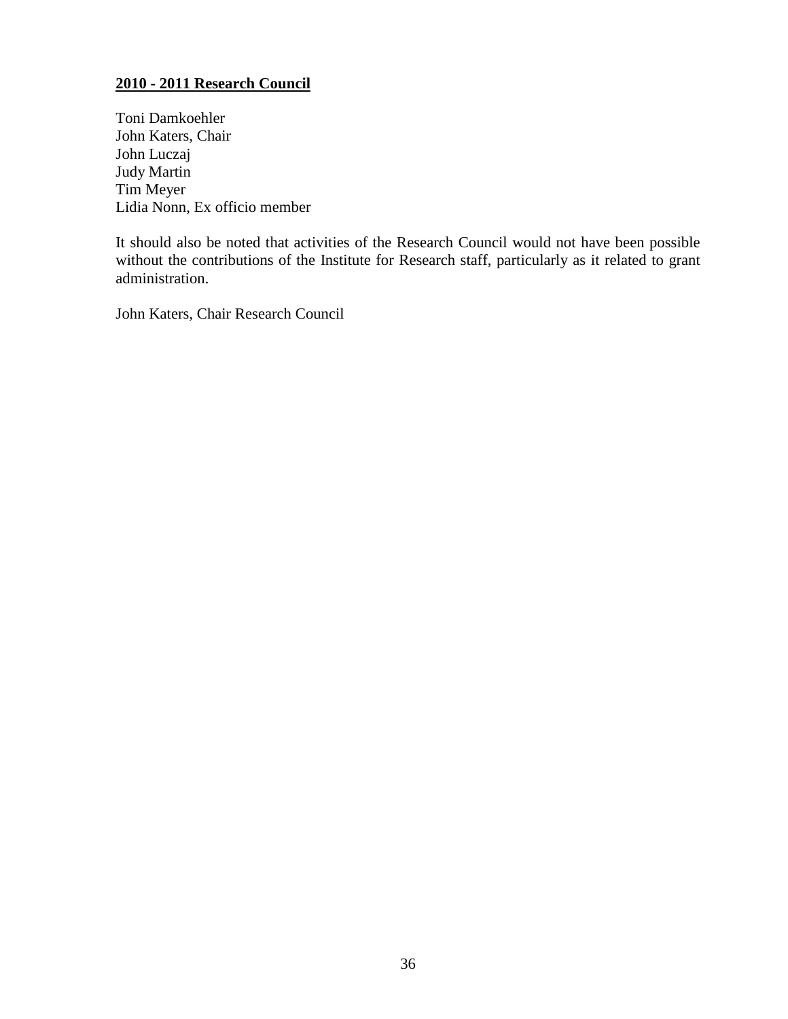### **2010 - 2011 Research Council**

Toni Damkoehler John Katers, Chair John Luczaj Judy Martin Tim Meyer Lidia Nonn, Ex officio member

It should also be noted that activities of the Research Council would not have been possible without the contributions of the Institute for Research staff, particularly as it related to grant administration.

John Katers, Chair Research Council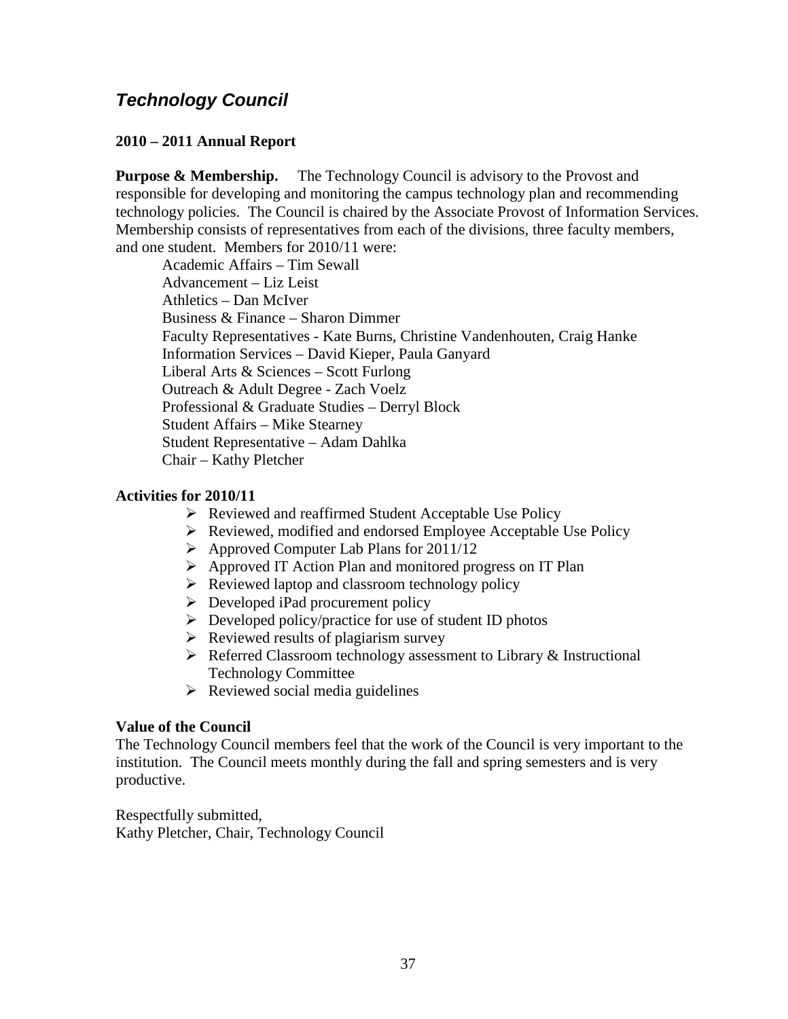## <span id="page-36-0"></span>*Technology Council*

### **2010 – 2011 Annual Report**

**Purpose & Membership.** The Technology Council is advisory to the Provost and responsible for developing and monitoring the campus technology plan and recommending technology policies. The Council is chaired by the Associate Provost of Information Services. Membership consists of representatives from each of the divisions, three faculty members, and one student. Members for 2010/11 were:

Academic Affairs – Tim Sewall Advancement – Liz Leist Athletics – Dan McIver Business & Finance – Sharon Dimmer Faculty Representatives - Kate Burns, Christine Vandenhouten, Craig Hanke Information Services – David Kieper, Paula Ganyard Liberal Arts & Sciences – Scott Furlong Outreach & Adult Degree - Zach Voelz Professional & Graduate Studies – Derryl Block Student Affairs – Mike Stearney Student Representative – Adam Dahlka Chair – Kathy Pletcher

#### **Activities for 2010/11**

- $\triangleright$  Reviewed and reaffirmed Student Acceptable Use Policy
- Reviewed, modified and endorsed Employee Acceptable Use Policy
- $\triangleright$  Approved Computer Lab Plans for 2011/12
- Approved IT Action Plan and monitored progress on IT Plan
- $\triangleright$  Reviewed laptop and classroom technology policy
- $\triangleright$  Developed iPad procurement policy
- $\triangleright$  Developed policy/practice for use of student ID photos
- $\triangleright$  Reviewed results of plagiarism survey
- $\triangleright$  Referred Classroom technology assessment to Library & Instructional Technology Committee
- $\triangleright$  Reviewed social media guidelines

#### **Value of the Council**

The Technology Council members feel that the work of the Council is very important to the institution. The Council meets monthly during the fall and spring semesters and is very productive.

Respectfully submitted, Kathy Pletcher, Chair, Technology Council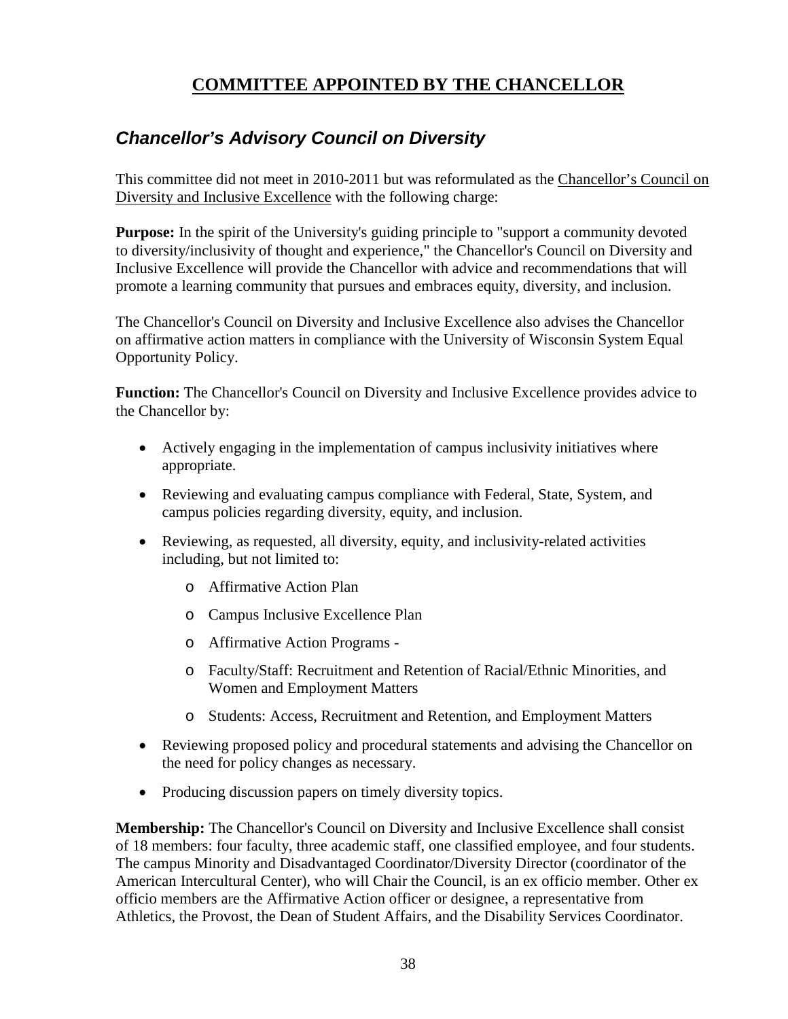## **COMMITTEE APPOINTED BY THE CHANCELLOR**

## <span id="page-37-1"></span><span id="page-37-0"></span>*Chancellor's Advisory Council on Diversity*

This committee did not meet in 2010-2011 but was reformulated as the Chancellor's Council on Diversity and Inclusive Excellence with the following charge:

**Purpose:** In the spirit of the University's guiding principle to "support a community devoted to diversity/inclusivity of thought and experience," the Chancellor's Council on Diversity and Inclusive Excellence will provide the Chancellor with advice and recommendations that will promote a learning community that pursues and embraces equity, diversity, and inclusion.

The Chancellor's Council on Diversity and Inclusive Excellence also advises the Chancellor on affirmative action matters in compliance with the University of Wisconsin System Equal Opportunity Policy.

**Function:** The Chancellor's Council on Diversity and Inclusive Excellence provides advice to the Chancellor by:

- Actively engaging in the implementation of campus inclusivity initiatives where appropriate.
- Reviewing and evaluating campus compliance with Federal, State, System, and campus policies regarding diversity, equity, and inclusion.
- Reviewing, as requested, all diversity, equity, and inclusivity-related activities including, but not limited to:
	- o Affirmative Action Plan
	- o Campus Inclusive Excellence Plan
	- o Affirmative Action Programs -
	- o Faculty/Staff: Recruitment and Retention of Racial/Ethnic Minorities, and Women and Employment Matters
	- o Students: Access, Recruitment and Retention, and Employment Matters
- Reviewing proposed policy and procedural statements and advising the Chancellor on the need for policy changes as necessary.
- Producing discussion papers on timely diversity topics.

**Membership:** The Chancellor's Council on Diversity and Inclusive Excellence shall consist of 18 members: four faculty, three academic staff, one classified employee, and four students. The campus Minority and Disadvantaged Coordinator/Diversity Director (coordinator of the American Intercultural Center), who will Chair the Council, is an ex officio member. Other ex officio members are the Affirmative Action officer or designee, a representative from Athletics, the Provost, the Dean of Student Affairs, and the Disability Services Coordinator.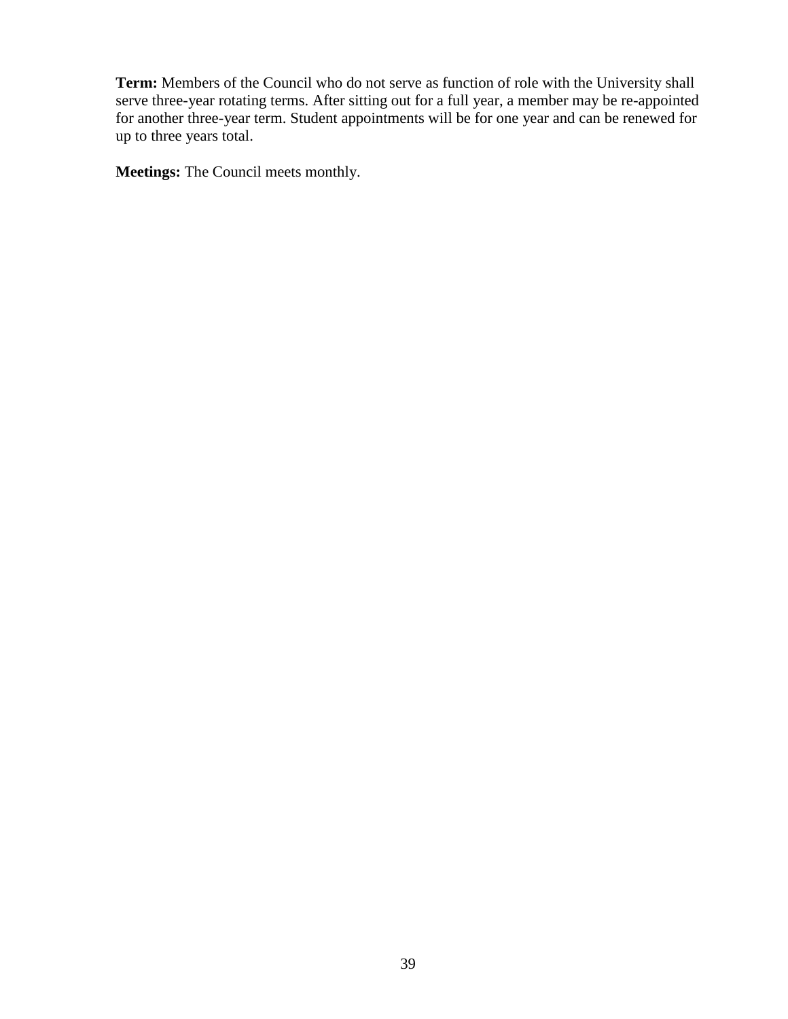**Term:** Members of the Council who do not serve as function of role with the University shall serve three-year rotating terms. After sitting out for a full year, a member may be re-appointed for another three-year term. Student appointments will be for one year and can be renewed for up to three years total.

**Meetings:** The Council meets monthly.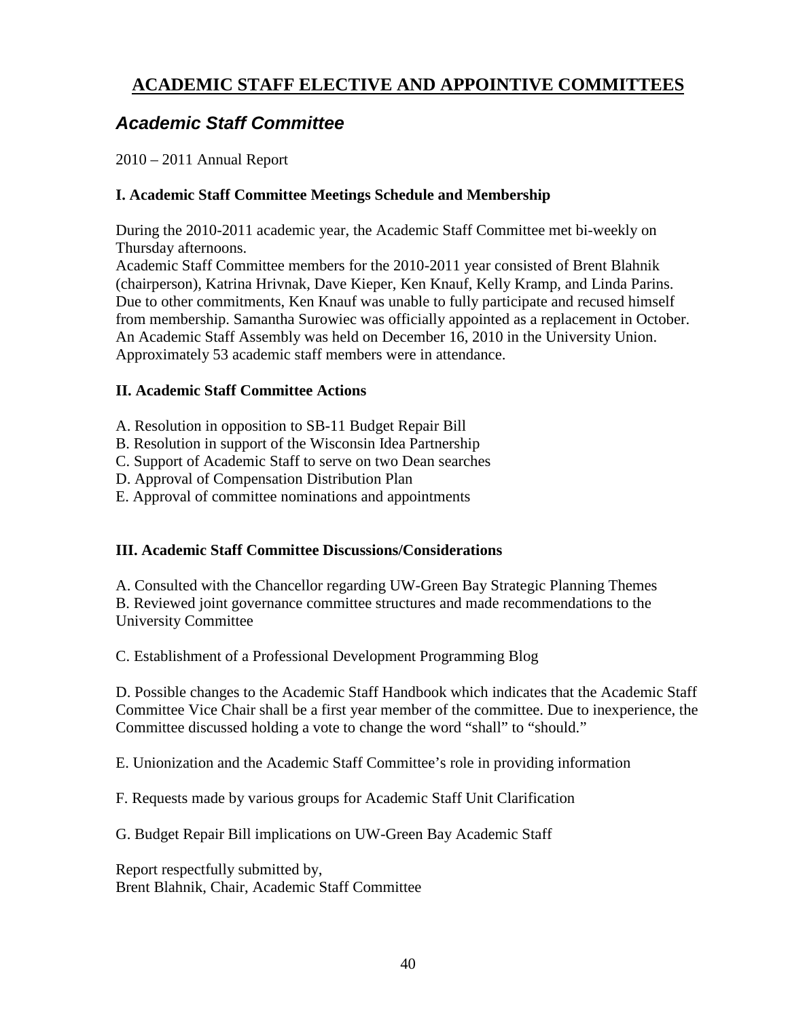## <span id="page-39-0"></span>**ACADEMIC STAFF ELECTIVE AND APPOINTIVE COMMITTEES**

## <span id="page-39-1"></span>*Academic Staff Committee*

2010 – 2011 Annual Report

### **I. Academic Staff Committee Meetings Schedule and Membership**

During the 2010-2011 academic year, the Academic Staff Committee met bi-weekly on Thursday afternoons.

Academic Staff Committee members for the 2010-2011 year consisted of Brent Blahnik (chairperson), Katrina Hrivnak, Dave Kieper, Ken Knauf, Kelly Kramp, and Linda Parins. Due to other commitments, Ken Knauf was unable to fully participate and recused himself from membership. Samantha Surowiec was officially appointed as a replacement in October. An Academic Staff Assembly was held on December 16, 2010 in the University Union. Approximately 53 academic staff members were in attendance.

### **II. Academic Staff Committee Actions**

A. Resolution in opposition to SB-11 Budget Repair Bill

- B. Resolution in support of the Wisconsin Idea Partnership
- C. Support of Academic Staff to serve on two Dean searches
- D. Approval of Compensation Distribution Plan
- E. Approval of committee nominations and appointments

### **III. Academic Staff Committee Discussions/Considerations**

A. Consulted with the Chancellor regarding UW-Green Bay Strategic Planning Themes B. Reviewed joint governance committee structures and made recommendations to the University Committee

C. Establishment of a Professional Development Programming Blog

D. Possible changes to the Academic Staff Handbook which indicates that the Academic Staff Committee Vice Chair shall be a first year member of the committee. Due to inexperience, the Committee discussed holding a vote to change the word "shall" to "should."

E. Unionization and the Academic Staff Committee's role in providing information

F. Requests made by various groups for Academic Staff Unit Clarification

G. Budget Repair Bill implications on UW-Green Bay Academic Staff

Report respectfully submitted by, Brent Blahnik, Chair, Academic Staff Committee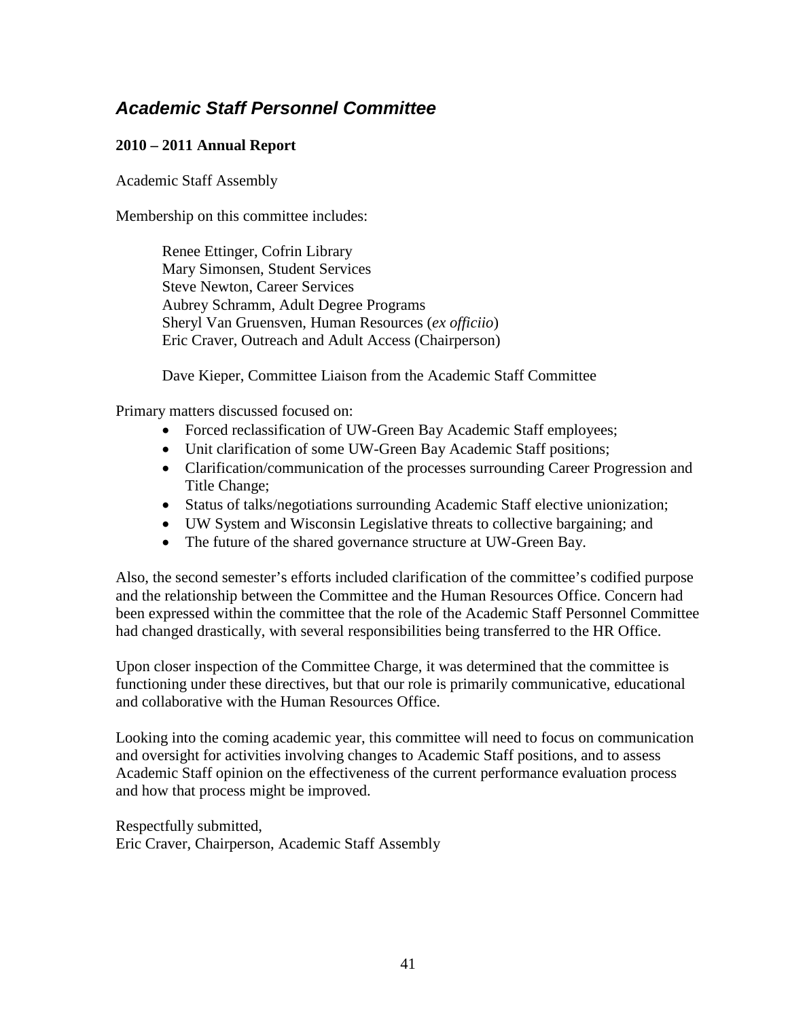## <span id="page-40-0"></span>*Academic Staff Personnel Committee*

### **2010 – 2011 Annual Report**

Academic Staff Assembly

Membership on this committee includes:

Renee Ettinger, Cofrin Library Mary Simonsen, Student Services Steve Newton, Career Services Aubrey Schramm, Adult Degree Programs Sheryl Van Gruensven, Human Resources (*ex officiio*) Eric Craver, Outreach and Adult Access (Chairperson)

Dave Kieper, Committee Liaison from the Academic Staff Committee

Primary matters discussed focused on:

- Forced reclassification of UW-Green Bay Academic Staff employees;
- Unit clarification of some UW-Green Bay Academic Staff positions;
- Clarification/communication of the processes surrounding Career Progression and Title Change;
- Status of talks/negotiations surrounding Academic Staff elective unionization;
- UW System and Wisconsin Legislative threats to collective bargaining; and
- The future of the shared governance structure at UW-Green Bay.

Also, the second semester's efforts included clarification of the committee's codified purpose and the relationship between the Committee and the Human Resources Office. Concern had been expressed within the committee that the role of the Academic Staff Personnel Committee had changed drastically, with several responsibilities being transferred to the HR Office.

Upon closer inspection of the Committee Charge, it was determined that the committee is functioning under these directives, but that our role is primarily communicative, educational and collaborative with the Human Resources Office.

Looking into the coming academic year, this committee will need to focus on communication and oversight for activities involving changes to Academic Staff positions, and to assess Academic Staff opinion on the effectiveness of the current performance evaluation process and how that process might be improved.

Respectfully submitted, Eric Craver, Chairperson, Academic Staff Assembly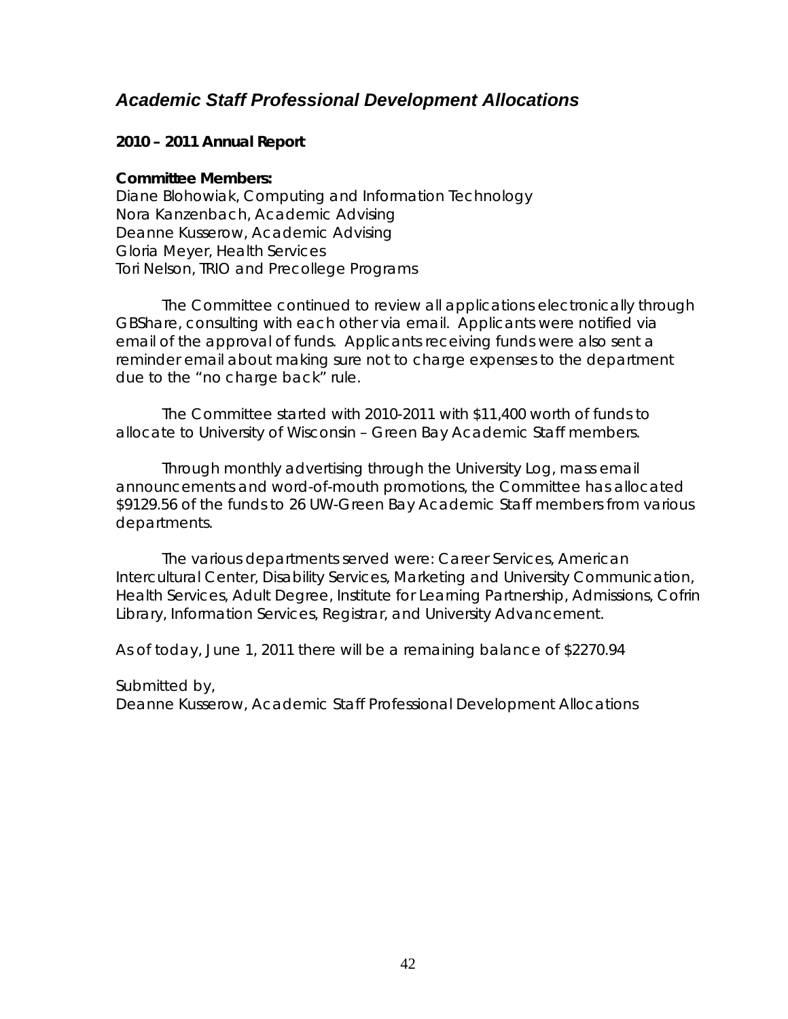## <span id="page-41-0"></span>*Academic Staff Professional Development Allocations*

### **2010 – 2011 Annual Report**

#### **Committee Members:**

Diane Blohowiak, Computing and Information Technology Nora Kanzenbach, Academic Advising Deanne Kusserow, Academic Advising Gloria Meyer, Health Services Tori Nelson, TRIO and Precollege Programs

The Committee continued to review all applications electronically through GBShare, consulting with each other via email. Applicants were notified via email of the approval of funds. Applicants receiving funds were also sent a reminder email about making sure not to charge expenses to the department due to the "no charge back" rule.

The Committee started with 2010-2011 with \$11,400 worth of funds to allocate to University of Wisconsin – Green Bay Academic Staff members.

Through monthly advertising through the University Log, mass email announcements and word-of-mouth promotions, the Committee has allocated \$9129.56 of the funds to 26 UW-Green Bay Academic Staff members from various departments.

The various departments served were: Career Services, American Intercultural Center, Disability Services, Marketing and University Communication, Health Services, Adult Degree, Institute for Learning Partnership, Admissions, Cofrin Library, Information Services, Registrar, and University Advancement.

As of today, June 1, 2011 there will be a remaining balance of \$2270.94

Submitted by,

Deanne Kusserow, Academic Staff Professional Development Allocations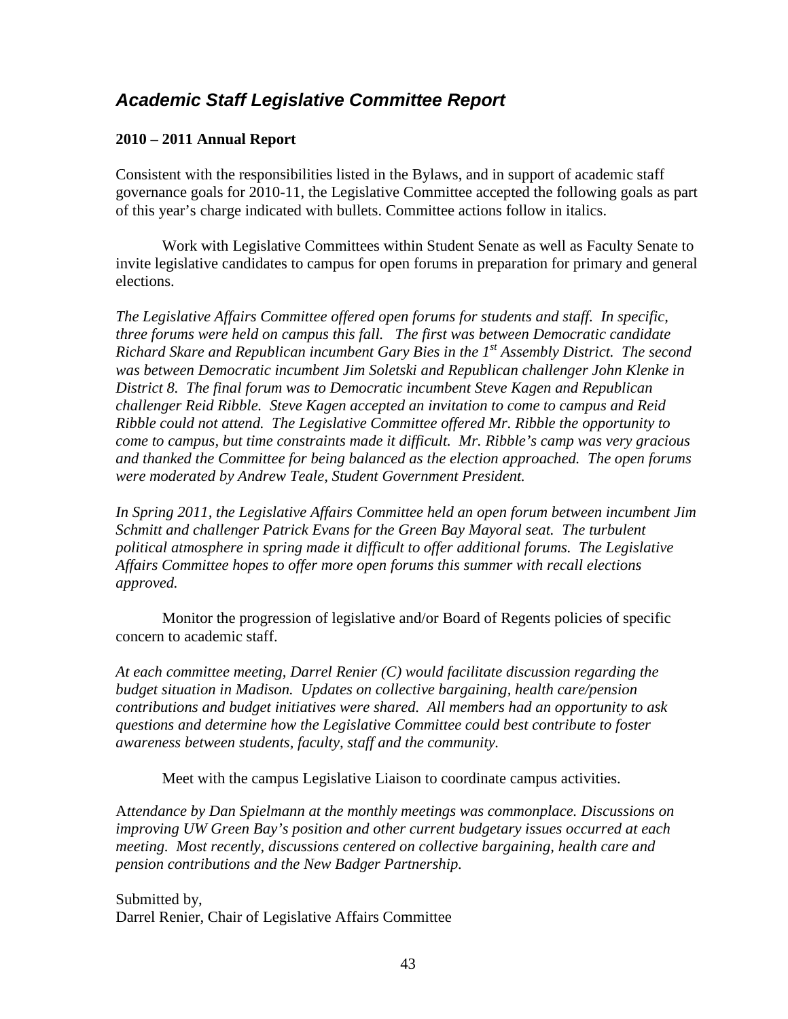## <span id="page-42-0"></span>*Academic Staff Legislative Committee Report*

#### **2010 – 2011 Annual Report**

Consistent with the responsibilities listed in the Bylaws, and in support of academic staff governance goals for 2010-11, the Legislative Committee accepted the following goals as part of this year's charge indicated with bullets. Committee actions follow in italics.

Work with Legislative Committees within Student Senate as well as Faculty Senate to invite legislative candidates to campus for open forums in preparation for primary and general elections.

*The Legislative Affairs Committee offered open forums for students and staff. In specific, three forums were held on campus this fall. The first was between Democratic candidate Richard Skare and Republican incumbent Gary Bies in the 1st Assembly District. The second was between Democratic incumbent Jim Soletski and Republican challenger John Klenke in District 8. The final forum was to Democratic incumbent Steve Kagen and Republican challenger Reid Ribble. Steve Kagen accepted an invitation to come to campus and Reid Ribble could not attend. The Legislative Committee offered Mr. Ribble the opportunity to come to campus, but time constraints made it difficult. Mr. Ribble's camp was very gracious and thanked the Committee for being balanced as the election approached. The open forums were moderated by Andrew Teale, Student Government President.*

*In Spring 2011, the Legislative Affairs Committee held an open forum between incumbent Jim Schmitt and challenger Patrick Evans for the Green Bay Mayoral seat. The turbulent political atmosphere in spring made it difficult to offer additional forums. The Legislative Affairs Committee hopes to offer more open forums this summer with recall elections approved.*

Monitor the progression of legislative and/or Board of Regents policies of specific concern to academic staff.

*At each committee meeting, Darrel Renier (C) would facilitate discussion regarding the budget situation in Madison. Updates on collective bargaining, health care/pension contributions and budget initiatives were shared. All members had an opportunity to ask questions and determine how the Legislative Committee could best contribute to foster awareness between students, faculty, staff and the community.*

Meet with the campus Legislative Liaison to coordinate campus activities.

A*ttendance by Dan Spielmann at the monthly meetings was commonplace. Discussions on improving UW Green Bay's position and other current budgetary issues occurred at each meeting. Most recently, discussions centered on collective bargaining, health care and pension contributions and the New Badger Partnership.*

Submitted by, Darrel Renier, Chair of Legislative Affairs Committee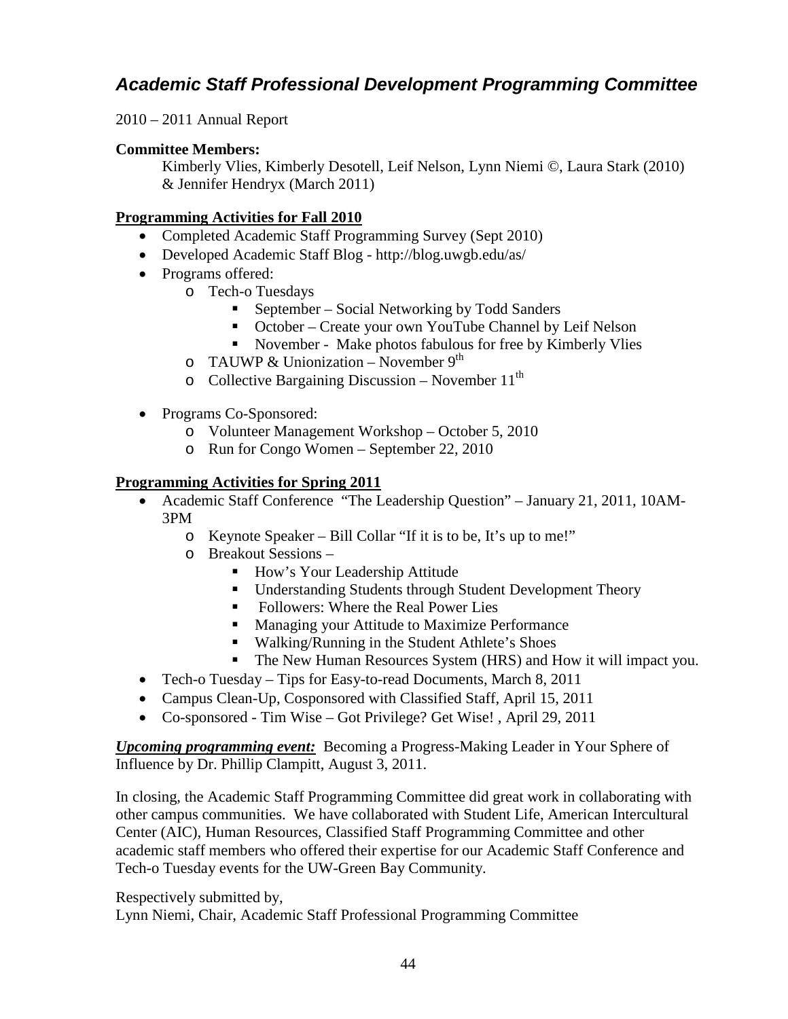## <span id="page-43-0"></span>*Academic Staff Professional Development Programming Committee*

2010 – 2011 Annual Report

### **Committee Members:**

Kimberly Vlies, Kimberly Desotell, Leif Nelson, Lynn Niemi ©, Laura Stark (2010) & Jennifer Hendryx (March 2011)

### **Programming Activities for Fall 2010**

- Completed Academic Staff Programming Survey (Sept 2010)
- Developed Academic Staff Blog http://blog.uwgb.edu/as/
- Programs offered:
	- o Tech-o Tuesdays
		- September Social Networking by Todd Sanders
		- October Create your own YouTube Channel by Leif Nelson
		- November Make photos fabulous for free by Kimberly Vlies
	- o TAUWP & Unionization November  $9<sup>th</sup>$
	- $\circ$  Collective Bargaining Discussion November 11<sup>th</sup>
- Programs Co-Sponsored:
	- o Volunteer Management Workshop October 5, 2010
	- o Run for Congo Women September 22, 2010

### **Programming Activities for Spring 2011**

- Academic Staff Conference "The Leadership Question" January 21, 2011, 10AM-3PM
	- o Keynote Speaker Bill Collar "If it is to be, It's up to me!"
	- o Breakout Sessions
		- How's Your Leadership Attitude
		- Understanding Students through Student Development Theory
		- Followers: Where the Real Power Lies
		- **Managing your Attitude to Maximize Performance**
		- Walking/Running in the Student Athlete's Shoes
		- The New Human Resources System (HRS) and How it will impact you.
- Tech-o Tuesday Tips for Easy-to-read Documents, March 8, 2011
- Campus Clean-Up, Cosponsored with Classified Staff, April 15, 2011
- Co-sponsored Tim Wise Got Privilege? Get Wise! , April 29, 2011

*Upcoming programming event:* Becoming a Progress-Making Leader in Your Sphere of Influence by Dr. Phillip Clampitt, August 3, 2011.

In closing, the Academic Staff Programming Committee did great work in collaborating with other campus communities. We have collaborated with Student Life, American Intercultural Center (AIC), Human Resources, Classified Staff Programming Committee and other academic staff members who offered their expertise for our Academic Staff Conference and Tech-o Tuesday events for the UW-Green Bay Community.

Respectively submitted by,

Lynn Niemi, Chair, Academic Staff Professional Programming Committee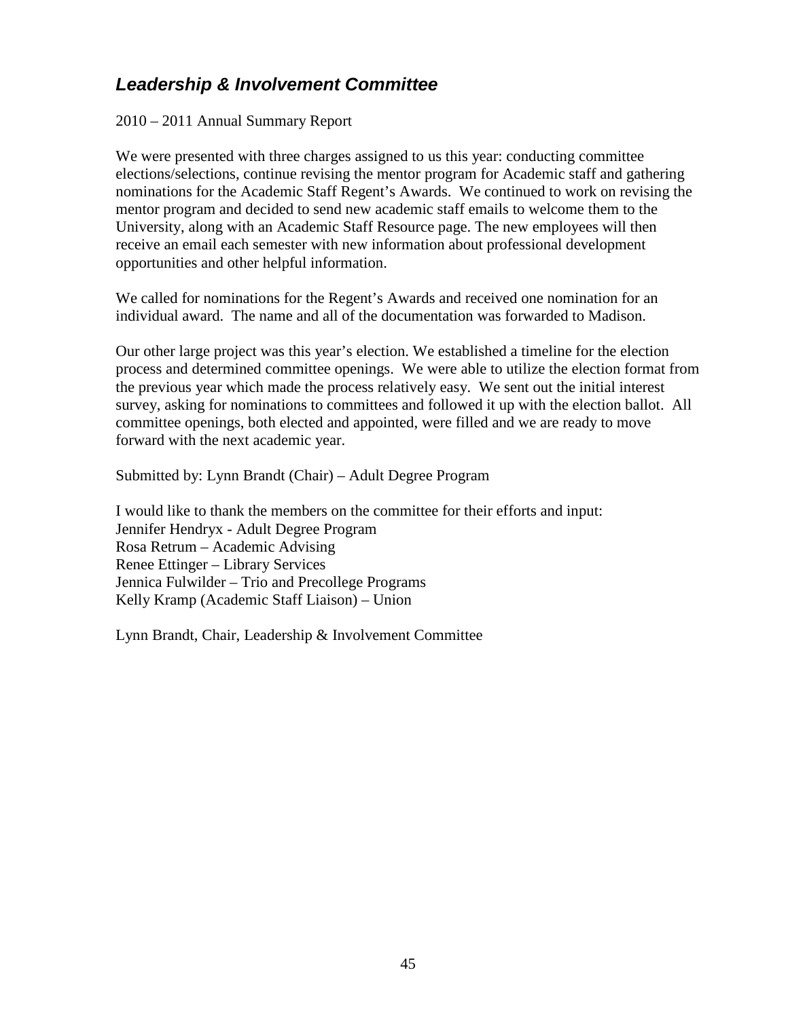## <span id="page-44-0"></span>*Leadership & Involvement Committee*

2010 – 2011 Annual Summary Report

We were presented with three charges assigned to us this year: conducting committee elections/selections, continue revising the mentor program for Academic staff and gathering nominations for the Academic Staff Regent's Awards. We continued to work on revising the mentor program and decided to send new academic staff emails to welcome them to the University, along with an Academic Staff Resource page. The new employees will then receive an email each semester with new information about professional development opportunities and other helpful information.

We called for nominations for the Regent's Awards and received one nomination for an individual award. The name and all of the documentation was forwarded to Madison.

Our other large project was this year's election. We established a timeline for the election process and determined committee openings. We were able to utilize the election format from the previous year which made the process relatively easy. We sent out the initial interest survey, asking for nominations to committees and followed it up with the election ballot. All committee openings, both elected and appointed, were filled and we are ready to move forward with the next academic year.

Submitted by: Lynn Brandt (Chair) – Adult Degree Program

I would like to thank the members on the committee for their efforts and input: Jennifer Hendryx - Adult Degree Program Rosa Retrum – Academic Advising Renee Ettinger – Library Services Jennica Fulwilder – Trio and Precollege Programs Kelly Kramp (Academic Staff Liaison) – Union

Lynn Brandt, Chair, Leadership & Involvement Committee